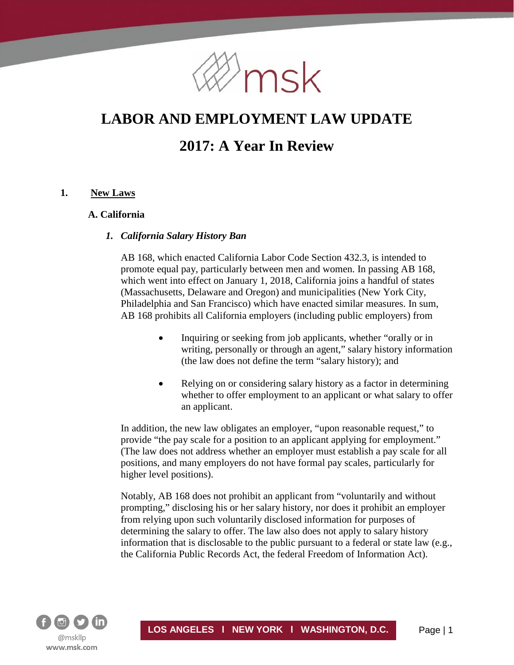

# **LABOR AND EMPLOYMENT LAW UPDATE**

# **2017: A Year In Review**

## **1. New Laws**

#### **A. California**

#### *1. California Salary History Ban*

AB 168, which enacted California Labor Code Section 432.3, is intended to promote equal pay, particularly between men and women. In passing AB 168, which went into effect on January 1, 2018, California joins a handful of states (Massachusetts, Delaware and Oregon) and municipalities (New York City, Philadelphia and San Francisco) which have enacted similar measures. In sum, AB 168 prohibits all California employers (including public employers) from

- Inquiring or seeking from job applicants, whether "orally or in writing, personally or through an agent," salary history information (the law does not define the term "salary history); and
- Relying on or considering salary history as a factor in determining whether to offer employment to an applicant or what salary to offer an applicant.

In addition, the new law obligates an employer, "upon reasonable request," to provide "the pay scale for a position to an applicant applying for employment." (The law does not address whether an employer must establish a pay scale for all positions, and many employers do not have formal pay scales, particularly for higher level positions).

Notably, AB 168 does not prohibit an applicant from "voluntarily and without prompting," disclosing his or her salary history, nor does it prohibit an employer from relying upon such voluntarily disclosed information for purposes of determining the salary to offer. The law also does not apply to salary history information that is disclosable to the public pursuant to a federal or state law (e.g., the California Public Records Act, the federal Freedom of Information Act).

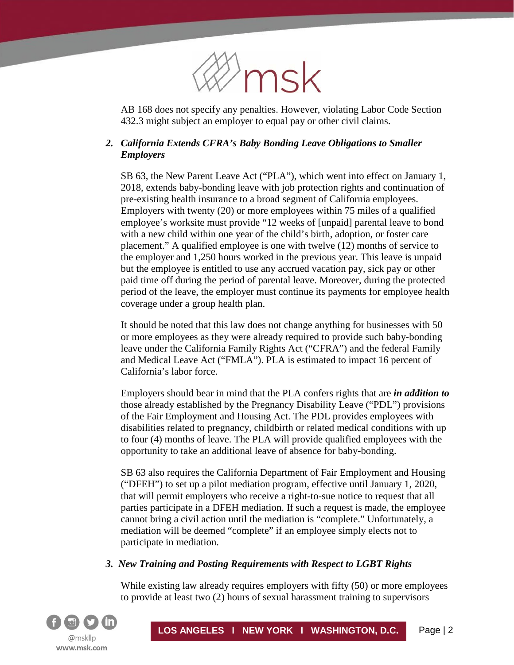

AB 168 does not specify any penalties. However, violating Labor Code Section 432.3 might subject an employer to equal pay or other civil claims.

# *2. California Extends CFRA's Baby Bonding Leave Obligations to Smaller Employers*

SB 63, the New Parent Leave Act ("PLA"), which went into effect on January 1, 2018, extends baby-bonding leave with job protection rights and continuation of pre-existing health insurance to a broad segment of California employees. Employers with twenty (20) or more employees within 75 miles of a qualified employee's worksite must provide "12 weeks of [unpaid] parental leave to bond with a new child within one year of the child's birth, adoption, or foster care placement." A qualified employee is one with twelve (12) months of service to the employer and 1,250 hours worked in the previous year. This leave is unpaid but the employee is entitled to use any accrued vacation pay, sick pay or other paid time off during the period of parental leave. Moreover, during the protected period of the leave, the employer must continue its payments for employee health coverage under a group health plan.

It should be noted that this law does not change anything for businesses with 50 or more employees as they were already required to provide such baby-bonding leave under the California Family Rights Act ("CFRA") and the federal Family and Medical Leave Act ("FMLA"). PLA is estimated to impact 16 percent of California's labor force.

Employers should bear in mind that the PLA confers rights that are *in addition to* those already established by the Pregnancy Disability Leave ("PDL") provisions of the Fair Employment and Housing Act. The PDL provides employees with disabilities related to pregnancy, childbirth or related medical conditions with up to four (4) months of leave. The PLA will provide qualified employees with the opportunity to take an additional leave of absence for baby-bonding.

SB 63 also requires the California Department of Fair Employment and Housing ("DFEH") to set up a pilot mediation program, effective until January 1, 2020, that will permit employers who receive a right-to-sue notice to request that all parties participate in a DFEH mediation. If such a request is made, the employee cannot bring a civil action until the mediation is "complete." Unfortunately, a mediation will be deemed "complete" if an employee simply elects not to participate in mediation.

## *3. New Training and Posting Requirements with Respect to LGBT Rights*

While existing law already requires employers with fifty (50) or more employees to provide at least two (2) hours of sexual harassment training to supervisors

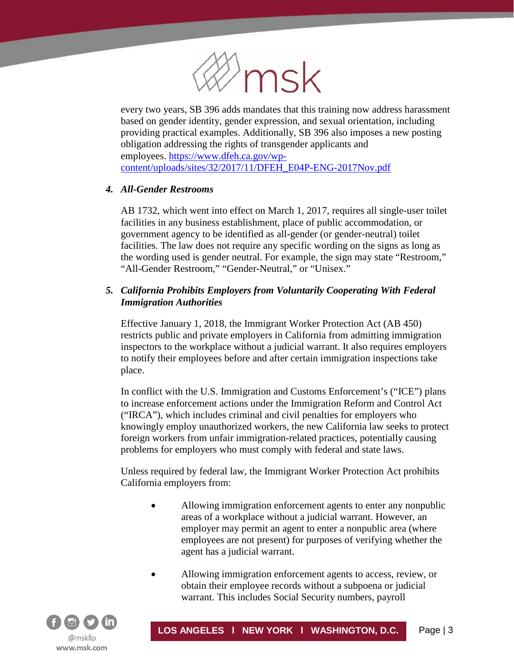

every two years, SB 396 adds mandates that this training now address harassment based on gender identity, gender expression, and sexual orientation, including providing practical examples. Additionally, SB 396 also imposes a new posting obligation addressing the rights of transgender applicants and employees. [https://www.dfeh.ca.gov/wp](https://www.dfeh.ca.gov/wp-content/uploads/sites/32/2017/11/DFEH_E04P-ENG-2017Nov.pdf)[content/uploads/sites/32/2017/11/DFEH\\_E04P-ENG-2017Nov.pdf](https://www.dfeh.ca.gov/wp-content/uploads/sites/32/2017/11/DFEH_E04P-ENG-2017Nov.pdf)

## *4. All-Gender Restrooms*

í

AB 1732, which went into effect on March 1, 2017, requires all single-user toilet facilities in any business establishment, place of public accommodation, or government agency to be identified as all-gender (or gender-neutral) toilet facilities. The law does not require any specific wording on the signs as long as the wording used is gender neutral. For example, the sign may state "Restroom," "All-Gender Restroom," "Gender-Neutral," or "Unisex."

# *5. California Prohibits Employers from Voluntarily Cooperating With Federal Immigration Authorities*

Effective January 1, 2018, the Immigrant Worker Protection Act (AB 450) restricts public and private employers in California from admitting immigration inspectors to the workplace without a judicial warrant. It also requires employers to notify their employees before and after certain immigration inspections take place.

In conflict with the U.S. Immigration and Customs Enforcement's ("ICE") plans to increase enforcement actions under the Immigration Reform and Control Act ("IRCA"), which includes criminal and civil penalties for employers who knowingly employ unauthorized workers, the new California law seeks to protect foreign workers from unfair immigration-related practices, potentially causing problems for employers who must comply with federal and state laws.

Unless required by federal law, the Immigrant Worker Protection Act prohibits California employers from:

- Allowing immigration enforcement agents to enter any nonpublic areas of a workplace without a judicial warrant. However, an employer may permit an agent to enter a nonpublic area (where employees are not present) for purposes of verifying whether the agent has a judicial warrant.
- Allowing immigration enforcement agents to access, review, or obtain their employee records without a subpoena or judicial warrant. This includes Social Security numbers, payroll

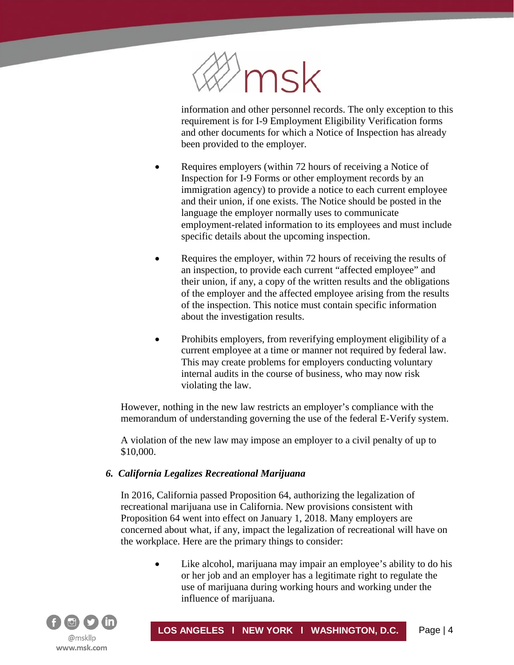

information and other personnel records. The only exception to this requirement is for I-9 Employment Eligibility Verification forms and other documents for which a Notice of Inspection has already been provided to the employer.

- Requires employers (within 72 hours of receiving a Notice of Inspection for I-9 Forms or other employment records by an immigration agency) to provide a notice to each current employee and their union, if one exists. The Notice should be posted in the language the employer normally uses to communicate employment-related information to its employees and must include specific details about the upcoming inspection.
- Requires the employer, within 72 hours of receiving the results of an inspection, to provide each current "affected employee" and their union, if any, a copy of the written results and the obligations of the employer and the affected employee arising from the results of the inspection. This notice must contain specific information about the investigation results.
- Prohibits employers, from reverifying employment eligibility of a current employee at a time or manner not required by federal law. This may create problems for employers conducting voluntary internal audits in the course of business, who may now risk violating the law.

However, nothing in the new law restricts an employer's compliance with the memorandum of understanding governing the use of the federal E-Verify system.

A violation of the new law may impose an employer to a civil penalty of up to \$10,000.

# *6. California Legalizes Recreational Marijuana*

In 2016, California passed Proposition 64, authorizing the legalization of recreational marijuana use in California. New provisions consistent with Proposition 64 went into effect on January 1, 2018. Many employers are concerned about what, if any, impact the legalization of recreational will have on the workplace. Here are the primary things to consider:

> Like alcohol, marijuana may impair an employee's ability to do his or her job and an employer has a legitimate right to regulate the use of marijuana during working hours and working under the influence of marijuana.

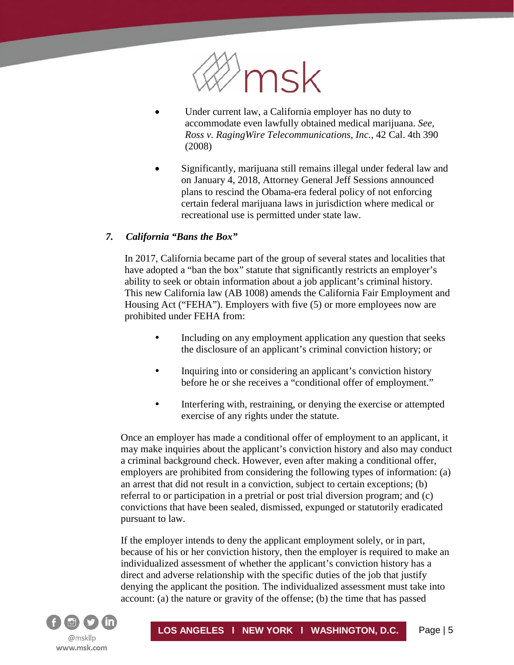

- Under current law, a California employer has no duty to accommodate even lawfully obtained medical marijuana. *See, Ross v. RagingWire Telecommunications, Inc.*, 42 Cal. 4th 390 (2008)
- Significantly, marijuana still remains illegal under federal law and on January 4, 2018, Attorney General Jeff Sessions announced plans to rescind the Obama-era federal policy of not enforcing certain federal marijuana laws in jurisdiction where medical or recreational use is permitted under state law.

#### *7. California "Bans the Box"*

In 2017, California became part of the group of several states and localities that have adopted a "ban the box" statute that significantly restricts an employer's ability to seek or obtain information about a job applicant's criminal history. This new California law (AB 1008) amends the California Fair Employment and Housing Act ("FEHA"). Employers with five (5) or more employees now are prohibited under FEHA from:

- Including on any employment application any question that seeks the disclosure of an applicant's criminal conviction history; or
- Inquiring into or considering an applicant's conviction history before he or she receives a "conditional offer of employment."
- Interfering with, restraining, or denying the exercise or attempted exercise of any rights under the statute.

Once an employer has made a conditional offer of employment to an applicant, it may make inquiries about the applicant's conviction history and also may conduct a criminal background check. However, even after making a conditional offer, employers are prohibited from considering the following types of information: (a) an arrest that did not result in a conviction, subject to certain exceptions; (b) referral to or participation in a pretrial or post trial diversion program; and (c) convictions that have been sealed, dismissed, expunged or statutorily eradicated pursuant to law.

If the employer intends to deny the applicant employment solely, or in part, because of his or her conviction history, then the employer is required to make an individualized assessment of whether the applicant's conviction history has a direct and adverse relationship with the specific duties of the job that justify denying the applicant the position. The individualized assessment must take into account: (a) the nature or gravity of the offense; (b) the time that has passed

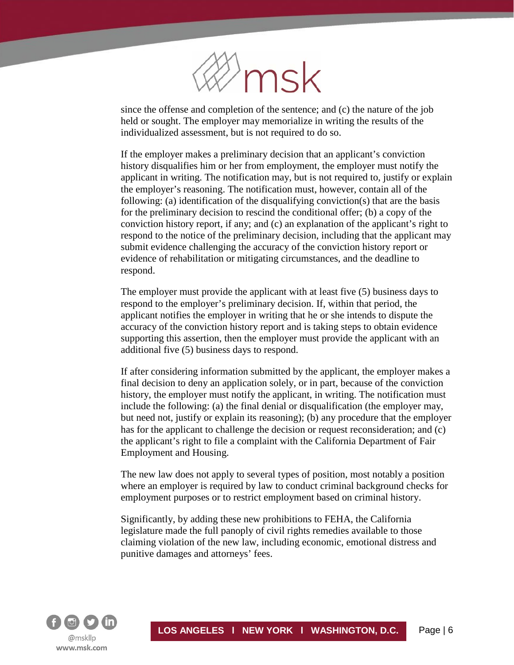

since the offense and completion of the sentence; and (c) the nature of the job held or sought. The employer may memorialize in writing the results of the individualized assessment, but is not required to do so.

If the employer makes a preliminary decision that an applicant's conviction history disqualifies him or her from employment, the employer must notify the applicant in writing. The notification may, but is not required to, justify or explain the employer's reasoning. The notification must, however, contain all of the following: (a) identification of the disqualifying conviction(s) that are the basis for the preliminary decision to rescind the conditional offer; (b) a copy of the conviction history report, if any; and (c) an explanation of the applicant's right to respond to the notice of the preliminary decision, including that the applicant may submit evidence challenging the accuracy of the conviction history report or evidence of rehabilitation or mitigating circumstances, and the deadline to respond.

The employer must provide the applicant with at least five (5) business days to respond to the employer's preliminary decision. If, within that period, the applicant notifies the employer in writing that he or she intends to dispute the accuracy of the conviction history report and is taking steps to obtain evidence supporting this assertion, then the employer must provide the applicant with an additional five (5) business days to respond.

If after considering information submitted by the applicant, the employer makes a final decision to deny an application solely, or in part, because of the conviction history, the employer must notify the applicant, in writing. The notification must include the following: (a) the final denial or disqualification (the employer may, but need not, justify or explain its reasoning); (b) any procedure that the employer has for the applicant to challenge the decision or request reconsideration; and (c) the applicant's right to file a complaint with the California Department of Fair Employment and Housing.

The new law does not apply to several types of position, most notably a position where an employer is required by law to conduct criminal background checks for employment purposes or to restrict employment based on criminal history.

Significantly, by adding these new prohibitions to FEHA, the California legislature made the full panoply of civil rights remedies available to those claiming violation of the new law, including economic, emotional distress and punitive damages and attorneys' fees.

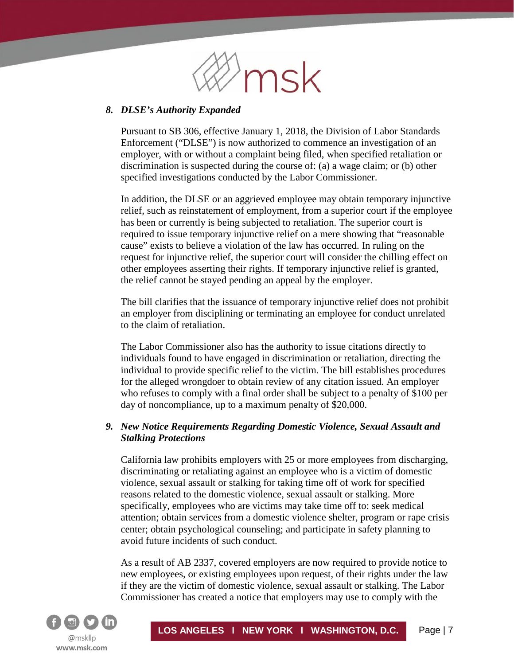

#### *8. DLSE's Authority Expanded*

í

Pursuant to SB 306, effective January 1, 2018, the Division of Labor Standards Enforcement ("DLSE") is now authorized to commence an investigation of an employer, with or without a complaint being filed, when specified retaliation or discrimination is suspected during the course of: (a) a wage claim; or (b) other specified investigations conducted by the Labor Commissioner.

In addition, the DLSE or an aggrieved employee may obtain temporary injunctive relief, such as reinstatement of employment, from a superior court if the employee has been or currently is being subjected to retaliation. The superior court is required to issue temporary injunctive relief on a mere showing that "reasonable cause" exists to believe a violation of the law has occurred. In ruling on the request for injunctive relief, the superior court will consider the chilling effect on other employees asserting their rights. If temporary injunctive relief is granted, the relief cannot be stayed pending an appeal by the employer.

The bill clarifies that the issuance of temporary injunctive relief does not prohibit an employer from disciplining or terminating an employee for conduct unrelated to the claim of retaliation.

The Labor Commissioner also has the authority to issue citations directly to individuals found to have engaged in discrimination or retaliation, directing the individual to provide specific relief to the victim. The bill establishes procedures for the alleged wrongdoer to obtain review of any citation issued. An employer who refuses to comply with a final order shall be subject to a penalty of \$100 per day of noncompliance, up to a maximum penalty of \$20,000.

## *9. New Notice Requirements Regarding Domestic Violence, Sexual Assault and Stalking Protections*

California law prohibits employers with 25 or more employees from discharging, discriminating or retaliating against an employee who is a victim of domestic violence, sexual assault or stalking for taking time off of work for specified reasons related to the domestic violence, sexual assault or stalking. More specifically, employees who are victims may take time off to: seek medical attention; obtain services from a domestic violence shelter, program or rape crisis center; obtain psychological counseling; and participate in safety planning to avoid future incidents of such conduct.

As a result of AB 2337, covered employers are now required to provide notice to new employees, or existing employees upon request, of their rights under the law if they are the victim of domestic violence, sexual assault or stalking. The Labor Commissioner has created a notice that employers may use to comply with the

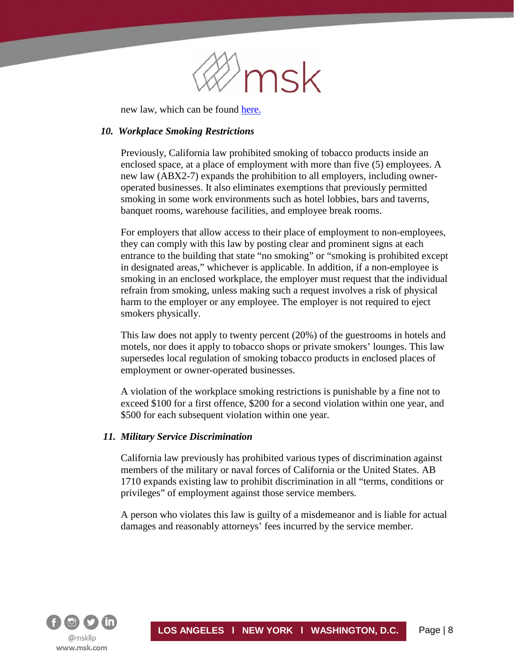

new law, which can be found [here.](http://www.dir.ca.gov/dlse/Victims_of_Domestic_Violence_Leave_Notice.pdf)

#### *10. Workplace Smoking Restrictions*

í

Previously, California law prohibited smoking of tobacco products inside an enclosed space, at a place of employment with more than five (5) employees. A new law (ABX2-7) expands the prohibition to all employers, including owneroperated businesses. It also eliminates exemptions that previously permitted smoking in some work environments such as hotel lobbies, bars and taverns, banquet rooms, warehouse facilities, and employee break rooms.

For employers that allow access to their place of employment to non-employees, they can comply with this law by posting clear and prominent signs at each entrance to the building that state "no smoking" or "smoking is prohibited except in designated areas," whichever is applicable. In addition, if a non-employee is smoking in an enclosed workplace, the employer must request that the individual refrain from smoking, unless making such a request involves a risk of physical harm to the employer or any employee. The employer is not required to eject smokers physically.

This law does not apply to twenty percent (20%) of the guestrooms in hotels and motels, nor does it apply to tobacco shops or private smokers' lounges. This law supersedes local regulation of smoking tobacco products in enclosed places of employment or owner-operated businesses.

A violation of the workplace smoking restrictions is punishable by a fine not to exceed \$100 for a first offence, \$200 for a second violation within one year, and \$500 for each subsequent violation within one year.

#### *11. Military Service Discrimination*

California law previously has prohibited various types of discrimination against members of the military or naval forces of California or the United States. AB 1710 expands existing law to prohibit discrimination in all "terms, conditions or privileges" of employment against those service members.

A person who violates this law is guilty of a misdemeanor and is liable for actual damages and reasonably attorneys' fees incurred by the service member.

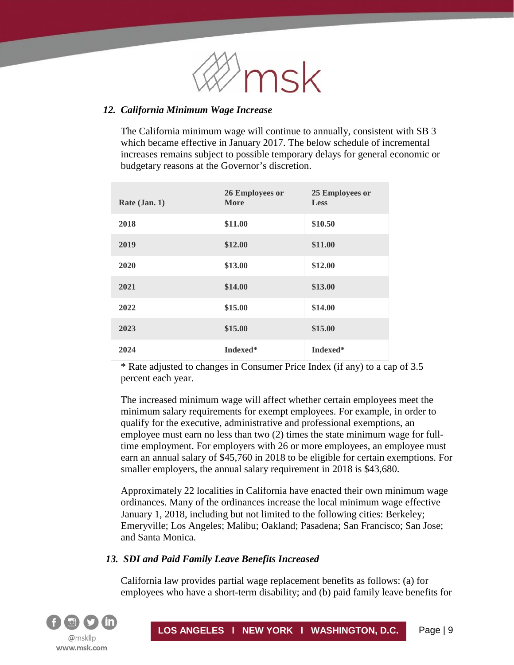

#### *12. California Minimum Wage Increase*

The California minimum wage will continue to annually, consistent with SB 3 which became effective in January 2017. The below schedule of incremental increases remains subject to possible temporary delays for general economic or budgetary reasons at the Governor's discretion.

| Rate $(Jan, 1)$ | 26 Employees or<br><b>More</b> | 25 Employees or<br><b>Less</b> |
|-----------------|--------------------------------|--------------------------------|
| 2018            | \$11.00                        | \$10.50                        |
| 2019            | \$12.00                        | \$11.00                        |
| 2020            | \$13.00                        | \$12.00                        |
| 2021            | \$14.00                        | \$13.00                        |
| 2022            | \$15.00                        | \$14.00                        |
| 2023            | \$15.00                        | \$15.00                        |
| 2024            | Indexed*                       | Indexed*                       |

\* Rate adjusted to changes in Consumer Price Index (if any) to a cap of 3.5 percent each year.

The increased minimum wage will affect whether certain employees meet the minimum salary requirements for exempt employees. For example, in order to qualify for the executive, administrative and professional exemptions, an employee must earn no less than two (2) times the state minimum wage for fulltime employment. For employers with 26 or more employees, an employee must earn an annual salary of \$45,760 in 2018 to be eligible for certain exemptions. For smaller employers, the annual salary requirement in 2018 is \$43,680.

Approximately 22 localities in California have enacted their own minimum wage ordinances. Many of the ordinances increase the local minimum wage effective January 1, 2018, including but not limited to the following cities: Berkeley; Emeryville; Los Angeles; Malibu; Oakland; Pasadena; San Francisco; San Jose; and Santa Monica.

#### *13. SDI and Paid Family Leave Benefits Increased*

California law provides partial wage replacement benefits as follows: (a) for employees who have a short-term disability; and (b) paid family leave benefits for

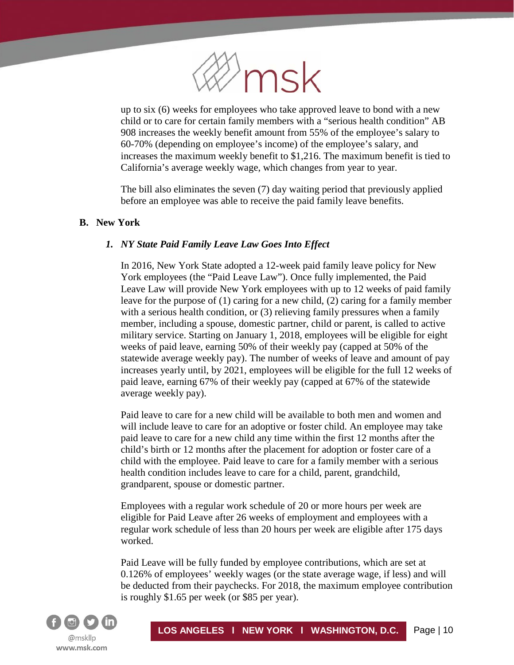

up to six (6) weeks for employees who take approved leave to bond with a new child or to care for certain family members with a "serious health condition" AB 908 increases the weekly benefit amount from 55% of the employee's salary to 60-70% (depending on employee's income) of the employee's salary, and increases the maximum weekly benefit to \$1,216. The maximum benefit is tied to California's average weekly wage, which changes from year to year.

The bill also eliminates the seven (7) day waiting period that previously applied before an employee was able to receive the paid family leave benefits.

## **B. New York**

í

# *1. NY State Paid Family Leave Law Goes Into Effect*

In 2016, New York State adopted a 12-week paid family leave policy for New York employees (the "Paid Leave Law"). Once fully implemented, the Paid Leave Law will provide New York employees with up to 12 weeks of paid family leave for the purpose of (1) caring for a new child, (2) caring for a family member with a serious health condition, or (3) relieving family pressures when a family member, including a spouse, domestic partner, child or parent, is called to active military service. Starting on January 1, 2018, employees will be eligible for eight weeks of paid leave, earning 50% of their weekly pay (capped at 50% of the statewide average weekly pay). The number of weeks of leave and amount of pay increases yearly until, by 2021, employees will be eligible for the full 12 weeks of paid leave, earning 67% of their weekly pay (capped at 67% of the statewide average weekly pay).

Paid leave to care for a new child will be available to both men and women and will include leave to care for an adoptive or foster child. An employee may take paid leave to care for a new child any time within the first 12 months after the child's birth or 12 months after the placement for adoption or foster care of a child with the employee. Paid leave to care for a family member with a serious health condition includes leave to care for a child, parent, grandchild, grandparent, spouse or domestic partner.

Employees with a regular work schedule of 20 or more hours per week are eligible for Paid Leave after 26 weeks of employment and employees with a regular work schedule of less than 20 hours per week are eligible after 175 days worked.

Paid Leave will be fully funded by employee contributions, which are set at 0.126% of employees' weekly wages (or the state average wage, if less) and will be deducted from their paychecks. For 2018, the maximum employee contribution is roughly \$1.65 per week (or \$85 per year).

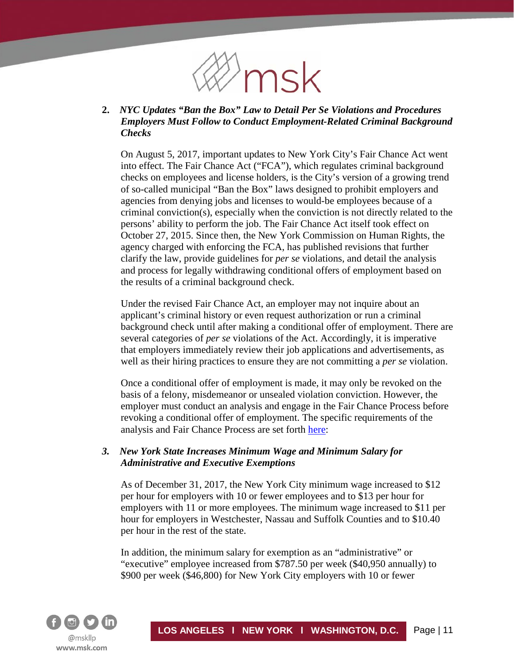

## **2.** *NYC Updates "Ban the Box" Law to Detail Per Se Violations and Procedures Employers Must Follow to Conduct Employment-Related Criminal Background Checks*

On August 5, 2017, important updates to New York City's Fair Chance Act went into effect. The Fair Chance Act ("FCA"), which regulates criminal background checks on employees and license holders, is the City's version of a growing trend of so-called municipal "Ban the Box" laws designed to prohibit employers and agencies from denying jobs and licenses to would-be employees because of a criminal conviction(s), especially when the conviction is not directly related to the persons' ability to perform the job. The Fair Chance Act itself took effect on October 27, 2015. Since then, the New York Commission on Human Rights, the agency charged with enforcing the FCA, has published revisions that further clarify the law, provide guidelines for *per se* violations, and detail the analysis and process for legally withdrawing conditional offers of employment based on the results of a criminal background check.

Under the revised Fair Chance Act, an employer may not inquire about an applicant's criminal history or even request authorization or run a criminal background check until after making a conditional offer of employment. There are several categories of *per se* violations of the Act. Accordingly, it is imperative that employers immediately review their job applications and advertisements, as well as their hiring practices to ensure they are not committing a *per se* violation.

Once a conditional offer of employment is made, it may only be revoked on the basis of a felony, misdemeanor or unsealed violation conviction. However, the employer must conduct an analysis and engage in the Fair Chance Process before revoking a conditional offer of employment. The specific requirements of the analysis and Fair Chance Process are set forth [here:](http://www1.nyc.gov/assets/cchr/downloads/pdf/FC%20rules%206.1.17%20FINAL.pdf)

## *3. New York State Increases Minimum Wage and Minimum Salary for Administrative and Executive Exemptions*

As of December 31, 2017, the New York City minimum wage increased to \$12 per hour for employers with 10 or fewer employees and to \$13 per hour for employers with 11 or more employees. The minimum wage increased to \$11 per hour for employers in Westchester, Nassau and Suffolk Counties and to \$10.40 per hour in the rest of the state.

In addition, the minimum salary for exemption as an "administrative" or "executive" employee increased from \$787.50 per week (\$40,950 annually) to \$900 per week (\$46,800) for New York City employers with 10 or fewer

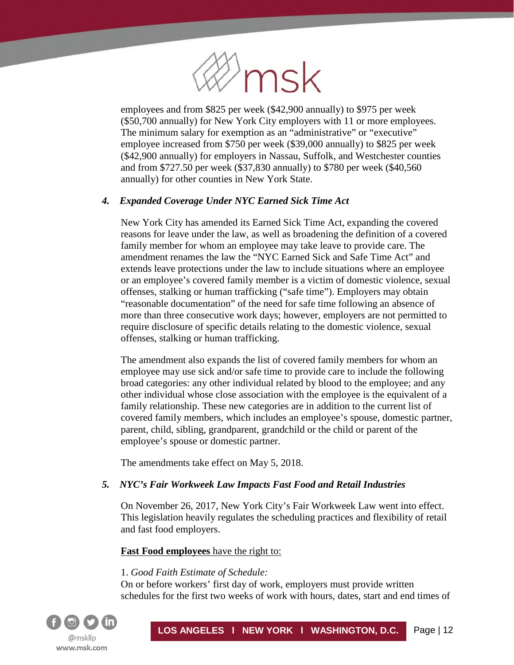

employees and from \$825 per week (\$42,900 annually) to \$975 per week (\$50,700 annually) for New York City employers with 11 or more employees. The minimum salary for exemption as an "administrative" or "executive" employee increased from \$750 per week (\$39,000 annually) to \$825 per week (\$42,900 annually) for employers in Nassau, Suffolk, and Westchester counties and from \$727.50 per week (\$37,830 annually) to \$780 per week (\$40,560 annually) for other counties in New York State.

## *4. Expanded Coverage Under NYC Earned Sick Time Act*

New York City has amended its Earned Sick Time Act, expanding the covered reasons for leave under the law, as well as broadening the definition of a covered family member for whom an employee may take leave to provide care. The amendment renames the law the "NYC Earned Sick and Safe Time Act" and extends leave protections under the law to include situations where an employee or an employee's covered family member is a victim of domestic violence, sexual offenses, stalking or human trafficking ("safe time"). Employers may obtain "reasonable documentation" of the need for safe time following an absence of more than three consecutive work days; however, employers are not permitted to require disclosure of specific details relating to the domestic violence, sexual offenses, stalking or human trafficking.

The amendment also expands the list of covered family members for whom an employee may use sick and/or safe time to provide care to include the following broad categories: any other individual related by blood to the employee; and any other individual whose close association with the employee is the equivalent of a family relationship. These new categories are in addition to the current list of covered family members, which includes an employee's spouse, domestic partner, parent, child, sibling, grandparent, grandchild or the child or parent of the employee's spouse or domestic partner.

The amendments take effect on May 5, 2018.

# *5. NYC's Fair Workweek Law Impacts Fast Food and Retail Industries*

On November 26, 2017, New York City's Fair Workweek Law went into effect. This legislation heavily regulates the scheduling practices and flexibility of retail and fast food employers.

# **Fast Food employees** have the right to:

## 1. *Good Faith Estimate of Schedule:*

On or before workers' first day of work, employers must provide written schedules for the first two weeks of work with hours, dates, start and end times of

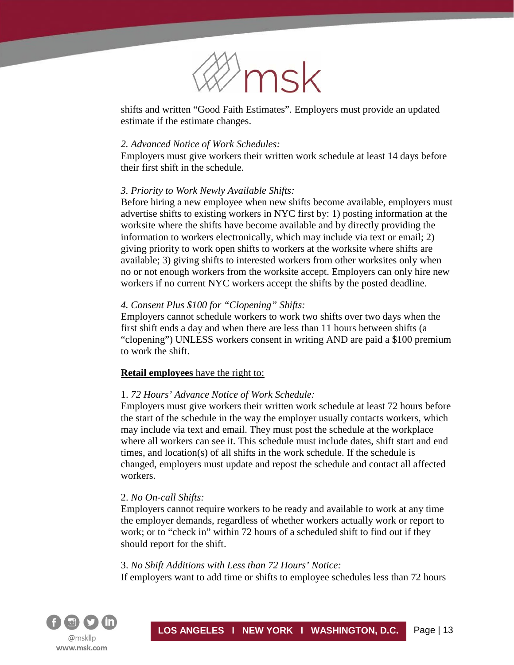

shifts and written "Good Faith Estimates". Employers must provide an updated estimate if the estimate changes.

#### *2. Advanced Notice of Work Schedules:*

Employers must give workers their written work schedule at least 14 days before their first shift in the schedule.

#### *3. Priority to Work Newly Available Shifts:*

Before hiring a new employee when new shifts become available, employers must advertise shifts to existing workers in NYC first by: 1) posting information at the worksite where the shifts have become available and by directly providing the information to workers electronically, which may include via text or email; 2) giving priority to work open shifts to workers at the worksite where shifts are available; 3) giving shifts to interested workers from other worksites only when no or not enough workers from the worksite accept. Employers can only hire new workers if no current NYC workers accept the shifts by the posted deadline.

#### *4. Consent Plus \$100 for "Clopening" Shifts:*

Employers cannot schedule workers to work two shifts over two days when the first shift ends a day and when there are less than 11 hours between shifts (a "clopening") UNLESS workers consent in writing AND are paid a \$100 premium to work the shift.

## **Retail employees** have the right to:

#### 1. *72 Hours' Advance Notice of Work Schedule:*

Employers must give workers their written work schedule at least 72 hours before the start of the schedule in the way the employer usually contacts workers, which may include via text and email. They must post the schedule at the workplace where all workers can see it. This schedule must include dates, shift start and end times, and location(s) of all shifts in the work schedule. If the schedule is changed, employers must update and repost the schedule and contact all affected workers.

## 2. *No On-call Shifts:*

Employers cannot require workers to be ready and available to work at any time the employer demands, regardless of whether workers actually work or report to work; or to "check in" within 72 hours of a scheduled shift to find out if they should report for the shift.

#### 3. *No Shift Additions with Less than 72 Hours' Notice:*

If employers want to add time or shifts to employee schedules less than 72 hours

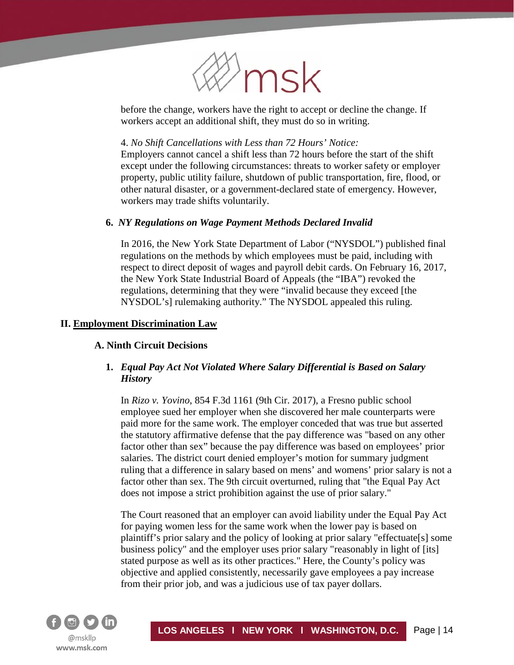

before the change, workers have the right to accept or decline the change. If workers accept an additional shift, they must do so in writing.

#### 4. *No Shift Cancellations with Less than 72 Hours' Notice:*

Employers cannot cancel a shift less than 72 hours before the start of the shift except under the following circumstances: threats to worker safety or employer property, public utility failure, shutdown of public transportation, fire, flood, or other natural disaster, or a government-declared state of emergency. However, workers may trade shifts voluntarily.

#### **6.** *NY Regulations on Wage Payment Methods Declared Invalid*

In 2016, the New York State Department of Labor ("NYSDOL") published final regulations on the methods by which employees must be paid, including with respect to direct deposit of wages and payroll debit cards. On February 16, 2017, the New York State Industrial Board of Appeals (the "IBA") revoked the regulations, determining that they were "invalid because they exceed [the NYSDOL's] rulemaking authority." The NYSDOL appealed this ruling.

#### **II. Employment Discrimination Law**

í

## **A. Ninth Circuit Decisions**

# **1.** *Equal Pay Act Not Violated Where Salary Differential is Based on Salary History*

In *Rizo v. Yovino*, 854 F.3d 1161 (9th Cir. 2017), a Fresno public school employee sued her employer when she discovered her male counterparts were paid more for the same work. The employer conceded that was true but asserted the statutory affirmative defense that the pay difference was "based on any other factor other than sex" because the pay difference was based on employees' prior salaries. The district court denied employer's motion for summary judgment ruling that a difference in salary based on mens' and womens' prior salary is not a factor other than sex. The 9th circuit overturned, ruling that "the Equal Pay Act does not impose a strict prohibition against the use of prior salary."

The Court reasoned that an employer can avoid liability under the Equal Pay Act for paying women less for the same work when the lower pay is based on plaintiff's prior salary and the policy of looking at prior salary "effectuate[s] some business policy" and the employer uses prior salary "reasonably in light of [its] stated purpose as well as its other practices." Here, the County's policy was objective and applied consistently, necessarily gave employees a pay increase from their prior job, and was a judicious use of tax payer dollars.

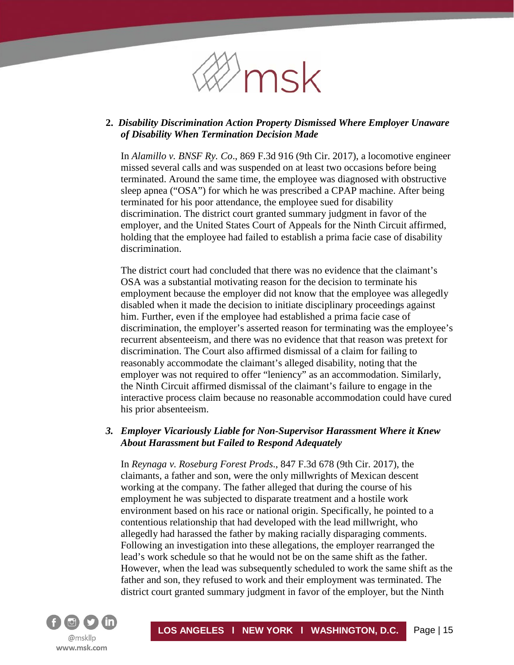

# **2.** *Disability Discrimination Action Property Dismissed Where Employer Unaware of Disability When Termination Decision Made*

In *Alamillo v. BNSF Ry. Co*., 869 F.3d 916 (9th Cir. 2017), a locomotive engineer missed several calls and was suspended on at least two occasions before being terminated. Around the same time, the employee was diagnosed with obstructive sleep apnea ("OSA") for which he was prescribed a CPAP machine. After being terminated for his poor attendance, the employee sued for disability discrimination. The district court granted summary judgment in favor of the employer, and the United States Court of Appeals for the Ninth Circuit affirmed, holding that the employee had failed to establish a prima facie case of disability discrimination.

The district court had concluded that there was no evidence that the claimant's OSA was a substantial motivating reason for the decision to terminate his employment because the employer did not know that the employee was allegedly disabled when it made the decision to initiate disciplinary proceedings against him. Further, even if the employee had established a prima facie case of discrimination, the employer's asserted reason for terminating was the employee's recurrent absenteeism, and there was no evidence that that reason was pretext for discrimination. The Court also affirmed dismissal of a claim for failing to reasonably accommodate the claimant's alleged disability, noting that the employer was not required to offer "leniency" as an accommodation. Similarly, the Ninth Circuit affirmed dismissal of the claimant's failure to engage in the interactive process claim because no reasonable accommodation could have cured his prior absenteeism.

## *3. Employer Vicariously Liable for Non-Supervisor Harassment Where it Knew About Harassment but Failed to Respond Adequately*

In *Reynaga v. Roseburg Forest Prods*., 847 F.3d 678 (9th Cir. 2017), the claimants, a father and son, were the only millwrights of Mexican descent working at the company. The father alleged that during the course of his employment he was subjected to disparate treatment and a hostile work environment based on his race or national origin. Specifically, he pointed to a contentious relationship that had developed with the lead millwright, who allegedly had harassed the father by making racially disparaging comments. Following an investigation into these allegations, the employer rearranged the lead's work schedule so that he would not be on the same shift as the father. However, when the lead was subsequently scheduled to work the same shift as the father and son, they refused to work and their employment was terminated. The district court granted summary judgment in favor of the employer, but the Ninth

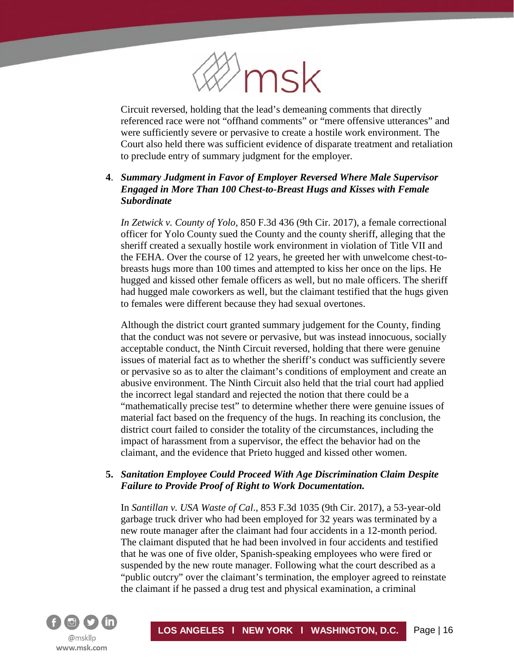

Circuit reversed, holding that the lead's demeaning comments that directly referenced race were not "offhand comments" or "mere offensive utterances" and were sufficiently severe or pervasive to create a hostile work environment. The Court also held there was sufficient evidence of disparate treatment and retaliation to preclude entry of summary judgment for the employer.

# **4**. *Summary Judgment in Favor of Employer Reversed Where Male Supervisor Engaged in More Than 100 Chest-to-Breast Hugs and Kisses with Female Subordinate*

*In Zetwick v. County of Yolo*, 850 F.3d 436 (9th Cir. 2017), a female correctional officer for Yolo County sued the County and the county sheriff, alleging that the sheriff created a sexually hostile work environment in violation of Title VII and the FEHA. Over the course of 12 years, he greeted her with unwelcome chest-tobreasts hugs more than 100 times and attempted to kiss her once on the lips. He hugged and kissed other female officers as well, but no male officers. The sheriff had hugged male coworkers as well, but the claimant testified that the hugs given to females were different because they had sexual overtones.

Although the district court granted summary judgement for the County, finding that the conduct was not severe or pervasive, but was instead innocuous, socially acceptable conduct, the Ninth Circuit reversed, holding that there were genuine issues of material fact as to whether the sheriff's conduct was sufficiently severe or pervasive so as to alter the claimant's conditions of employment and create an abusive environment. The Ninth Circuit also held that the trial court had applied the incorrect legal standard and rejected the notion that there could be a "mathematically precise test" to determine whether there were genuine issues of material fact based on the frequency of the hugs. In reaching its conclusion, the district court failed to consider the totality of the circumstances, including the impact of harassment from a supervisor, the effect the behavior had on the claimant, and the evidence that Prieto hugged and kissed other women.

## **5.** *Sanitation Employee Could Proceed With Age Discrimination Claim Despite Failure to Provide Proof of Right to Work Documentation.*

In *Santillan v. USA Waste of Cal*., 853 F.3d 1035 (9th Cir. 2017), a 53-year-old garbage truck driver who had been employed for 32 years was terminated by a new route manager after the claimant had four accidents in a 12-month period. The claimant disputed that he had been involved in four accidents and testified that he was one of five older, Spanish-speaking employees who were fired or suspended by the new route manager. Following what the court described as a "public outcry" over the claimant's termination, the employer agreed to reinstate the claimant if he passed a drug test and physical examination, a criminal

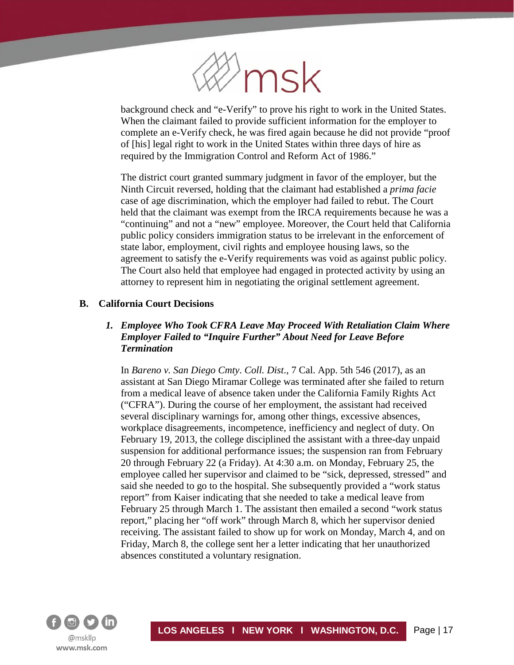

background check and "e-Verify" to prove his right to work in the United States. When the claimant failed to provide sufficient information for the employer to complete an e-Verify check, he was fired again because he did not provide "proof of [his] legal right to work in the United States within three days of hire as required by the Immigration Control and Reform Act of 1986."

The district court granted summary judgment in favor of the employer, but the Ninth Circuit reversed, holding that the claimant had established a *prima facie* case of age discrimination, which the employer had failed to rebut. The Court held that the claimant was exempt from the IRCA requirements because he was a "continuing" and not a "new" employee. Moreover, the Court held that California public policy considers immigration status to be irrelevant in the enforcement of state labor, employment, civil rights and employee housing laws, so the agreement to satisfy the e-Verify requirements was void as against public policy. The Court also held that employee had engaged in protected activity by using an attorney to represent him in negotiating the original settlement agreement.

# **B. California Court Decisions**

# *1. Employee Who Took CFRA Leave May Proceed With Retaliation Claim Where Employer Failed to "Inquire Further" About Need for Leave Before Termination*

In *Bareno v. San Diego Cmty*. *Coll. Dist*., 7 Cal. App. 5th 546 (2017), as an assistant at San Diego Miramar College was terminated after she failed to return from a medical leave of absence taken under the California Family Rights Act ("CFRA"). During the course of her employment, the assistant had received several disciplinary warnings for, among other things, excessive absences, workplace disagreements, incompetence, inefficiency and neglect of duty. On February 19, 2013, the college disciplined the assistant with a three-day unpaid suspension for additional performance issues; the suspension ran from February 20 through February 22 (a Friday). At 4:30 a.m. on Monday, February 25, the employee called her supervisor and claimed to be "sick, depressed, stressed" and said she needed to go to the hospital. She subsequently provided a "work status report" from Kaiser indicating that she needed to take a medical leave from February 25 through March 1. The assistant then emailed a second "work status report," placing her "off work" through March 8, which her supervisor denied receiving. The assistant failed to show up for work on Monday, March 4, and on Friday, March 8, the college sent her a letter indicating that her unauthorized absences constituted a voluntary resignation.

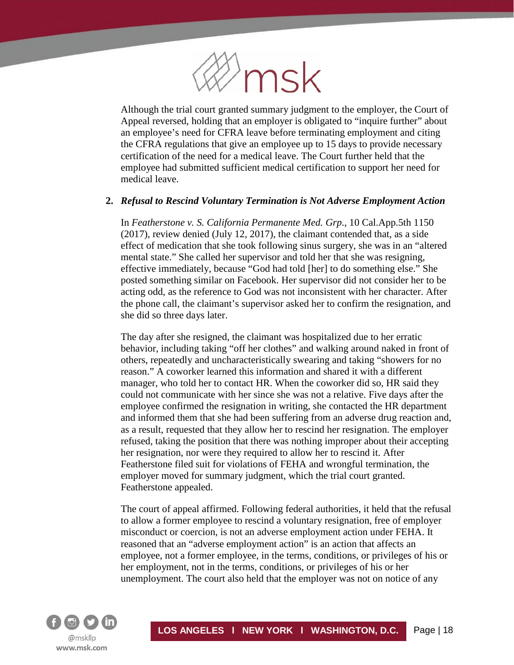

Although the trial court granted summary judgment to the employer, the Court of Appeal reversed, holding that an employer is obligated to "inquire further" about an employee's need for CFRA leave before terminating employment and citing the CFRA regulations that give an employee up to 15 days to provide necessary certification of the need for a medical leave. The Court further held that the employee had submitted sufficient medical certification to support her need for medical leave.

#### **2.** *Refusal to Rescind Voluntary Termination is Not Adverse Employment Action*

In *Featherstone v. S. California Permanente Med. Grp*., 10 Cal.App.5th 1150 (2017), review denied (July 12, 2017), the claimant contended that, as a side effect of medication that she took following sinus surgery, she was in an "altered mental state." She called her supervisor and told her that she was resigning, effective immediately, because "God had told [her] to do something else." She posted something similar on Facebook. Her supervisor did not consider her to be acting odd, as the reference to God was not inconsistent with her character. After the phone call, the claimant's supervisor asked her to confirm the resignation, and she did so three days later.

The day after she resigned, the claimant was hospitalized due to her erratic behavior, including taking "off her clothes" and walking around naked in front of others, repeatedly and uncharacteristically swearing and taking "showers for no reason." A coworker learned this information and shared it with a different manager, who told her to contact HR. When the coworker did so, HR said they could not communicate with her since she was not a relative. Five days after the employee confirmed the resignation in writing, she contacted the HR department and informed them that she had been suffering from an adverse drug reaction and, as a result, requested that they allow her to rescind her resignation. The employer refused, taking the position that there was nothing improper about their accepting her resignation, nor were they required to allow her to rescind it. After Featherstone filed suit for violations of FEHA and wrongful termination, the employer moved for summary judgment, which the trial court granted. Featherstone appealed.

The court of appeal affirmed. Following federal authorities, it held that the refusal to allow a former employee to rescind a voluntary resignation, free of employer misconduct or coercion, is not an adverse employment action under FEHA. It reasoned that an "adverse employment action" is an action that affects an employee, not a former employee, in the terms, conditions, or privileges of his or her employment, not in the terms, conditions, or privileges of his or her unemployment. The court also held that the employer was not on notice of any

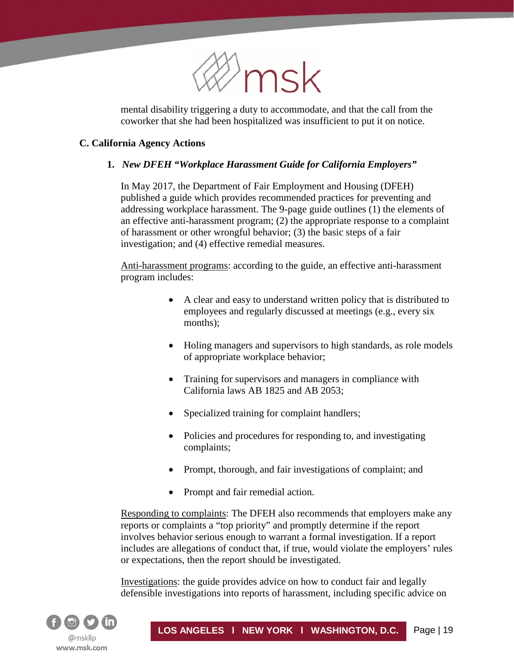

mental disability triggering a duty to accommodate, and that the call from the coworker that she had been hospitalized was insufficient to put it on notice.

# **C. California Agency Actions**

í

# **1.** *New DFEH "Workplace Harassment Guide for California Employers"*

In May 2017, the Department of Fair Employment and Housing (DFEH) published a guide which provides recommended practices for preventing and addressing workplace harassment. The 9-page guide outlines (1) the elements of an effective anti-harassment program; (2) the appropriate response to a complaint of harassment or other wrongful behavior; (3) the basic steps of a fair investigation; and (4) effective remedial measures.

Anti-harassment programs: according to the guide, an effective anti-harassment program includes:

- A clear and easy to understand written policy that is distributed to employees and regularly discussed at meetings (e.g., every six months);
- Holing managers and supervisors to high standards, as role models of appropriate workplace behavior;
- Training for supervisors and managers in compliance with California laws AB 1825 and AB 2053;
- Specialized training for complaint handlers;
- Policies and procedures for responding to, and investigating complaints;
- Prompt, thorough, and fair investigations of complaint; and
- Prompt and fair remedial action.

Responding to complaints: The DFEH also recommends that employers make any reports or complaints a "top priority" and promptly determine if the report involves behavior serious enough to warrant a formal investigation. If a report includes are allegations of conduct that, if true, would violate the employers' rules or expectations, then the report should be investigated.

Investigations: the guide provides advice on how to conduct fair and legally defensible investigations into reports of harassment, including specific advice on

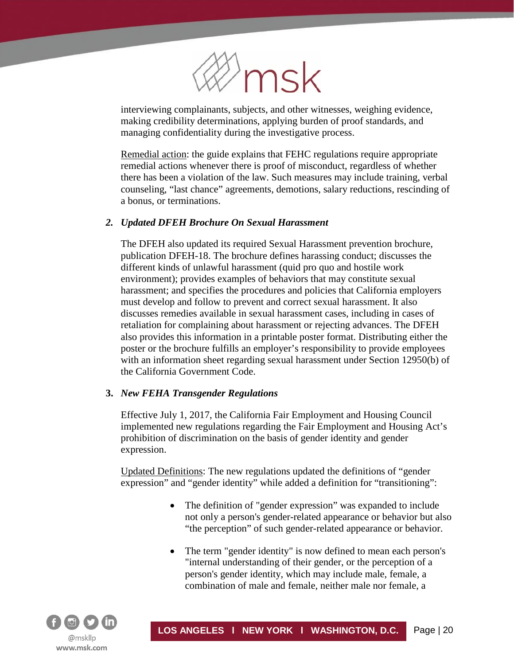

interviewing complainants, subjects, and other witnesses, weighing evidence, making credibility determinations, applying burden of proof standards, and managing confidentiality during the investigative process.

Remedial action: the guide explains that FEHC regulations require appropriate remedial actions whenever there is proof of misconduct, regardless of whether there has been a violation of the law. Such measures may include training, verbal counseling, "last chance" agreements, demotions, salary reductions, rescinding of a bonus, or terminations.

#### *2. Updated DFEH Brochure On Sexual Harassment*

The DFEH also updated its required Sexual Harassment prevention brochure, publication DFEH-18. The brochure defines harassing conduct; discusses the different kinds of unlawful harassment (quid pro quo and hostile work environment); provides examples of behaviors that may constitute sexual harassment; and specifies the procedures and policies that California employers must develop and follow to prevent and correct sexual harassment. It also discusses remedies available in sexual harassment cases, including in cases of retaliation for complaining about harassment or rejecting advances. The DFEH also provides this information in a printable poster format. Distributing either the poster or the brochure fulfills an employer's responsibility to provide employees with an information sheet regarding sexual harassment under Section 12950(b) of the California Government Code.

#### **3.** *New FEHA Transgender Regulations*

Effective July 1, 2017, the California Fair Employment and Housing Council implemented new regulations regarding the Fair Employment and Housing Act's prohibition of discrimination on the basis of gender identity and gender expression.

Updated Definitions: The new regulations updated the definitions of "gender expression" and "gender identity" while added a definition for "transitioning":

- The definition of "gender expression" was expanded to include not only a person's gender-related appearance or behavior but also "the perception" of such gender-related appearance or behavior.
- The term "gender identity" is now defined to mean each person's "internal understanding of their gender, or the perception of a person's gender identity, which may include male, female, a combination of male and female, neither male nor female, a

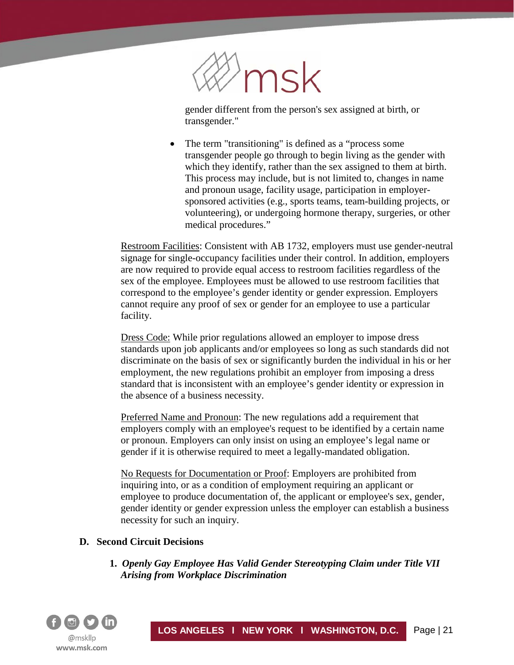

gender different from the person's sex assigned at birth, or transgender."

The term "transitioning" is defined as a "process some" transgender people go through to begin living as the gender with which they identify, rather than the sex assigned to them at birth. This process may include, but is not limited to, changes in name and pronoun usage, facility usage, participation in employersponsored activities (e.g., sports teams, team-building projects, or volunteering), or undergoing hormone therapy, surgeries, or other medical procedures."

Restroom Facilities: Consistent with AB 1732, employers must use gender-neutral signage for single-occupancy facilities under their control. In addition, employers are now required to provide equal access to restroom facilities regardless of the sex of the employee. Employees must be allowed to use restroom facilities that correspond to the employee's gender identity or gender expression. Employers cannot require any proof of sex or gender for an employee to use a particular facility.

Dress Code: While prior regulations allowed an employer to impose dress standards upon job applicants and/or employees so long as such standards did not discriminate on the basis of sex or significantly burden the individual in his or her employment, the new regulations prohibit an employer from imposing a dress standard that is inconsistent with an employee's gender identity or expression in the absence of a business necessity.

Preferred Name and Pronoun: The new regulations add a requirement that employers comply with an employee's request to be identified by a certain name or pronoun. Employers can only insist on using an employee's legal name or gender if it is otherwise required to meet a legally-mandated obligation.

No Requests for Documentation or Proof: Employers are prohibited from inquiring into, or as a condition of employment requiring an applicant or employee to produce documentation of, the applicant or employee's sex, gender, gender identity or gender expression unless the employer can establish a business necessity for such an inquiry.

## **D. Second Circuit Decisions**

**1.** *Openly Gay Employee Has Valid Gender Stereotyping Claim under Title VII Arising from Workplace Discrimination*

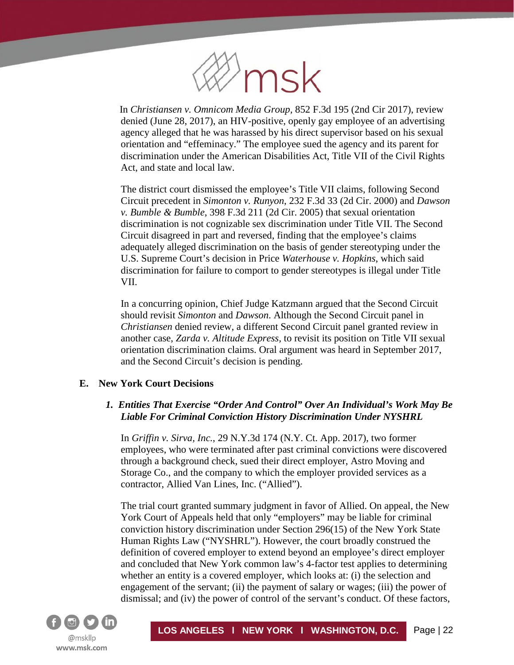

In *Christiansen v. Omnicom Media Group,* 852 F.3d 195 (2nd Cir 2017), review denied (June 28, 2017), an HIV-positive, openly gay employee of an advertising agency alleged that he was harassed by his direct supervisor based on his sexual orientation and "effeminacy." The employee sued the agency and its parent for discrimination under the American Disabilities Act, Title VII of the Civil Rights Act, and state and local law.

The district court dismissed the employee's Title VII claims, following Second Circuit precedent in *Simonton v. Runyon*, 232 F.3d 33 (2d Cir. 2000) and *Dawson v. Bumble & Bumble*, 398 F.3d 211 (2d Cir. 2005) that sexual orientation discrimination is not cognizable sex discrimination under Title VII. The Second Circuit disagreed in part and reversed, finding that the employee's claims adequately alleged discrimination on the basis of gender stereotyping under the U.S. Supreme Court's decision in Price *Waterhouse v. Hopkins*, which said discrimination for failure to comport to gender stereotypes is illegal under Title VII.

In a concurring opinion, Chief Judge Katzmann argued that the Second Circuit should revisit *Simonton* and *Dawson*. Although the Second Circuit panel in *Christiansen* denied review, a different Second Circuit panel granted review in another case, *Zarda v. Altitude Express,* to revisit its position on Title VII sexual orientation discrimination claims. Oral argument was heard in September 2017, and the Second Circuit's decision is pending.

## **E. New York Court Decisions**

# *1. Entities That Exercise "Order And Control" Over An Individual's Work May Be Liable For Criminal Conviction History Discrimination Under NYSHRL*

In *Griffin v. Sirva, Inc.*, 29 N.Y.3d 174 (N.Y. Ct. App. 2017), two former employees, who were terminated after past criminal convictions were discovered through a background check, sued their direct employer, Astro Moving and Storage Co., and the company to which the employer provided services as a contractor, Allied Van Lines, Inc. ("Allied").

The trial court granted summary judgment in favor of Allied. On appeal, the New York Court of Appeals held that only "employers" may be liable for criminal conviction history discrimination under Section 296(15) of the New York State Human Rights Law ("NYSHRL"). However, the court broadly construed the definition of covered employer to extend beyond an employee's direct employer and concluded that New York common law's 4-factor test applies to determining whether an entity is a covered employer, which looks at: (i) the selection and engagement of the servant; (ii) the payment of salary or wages; (iii) the power of dismissal; and (iv) the power of control of the servant's conduct. Of these factors,

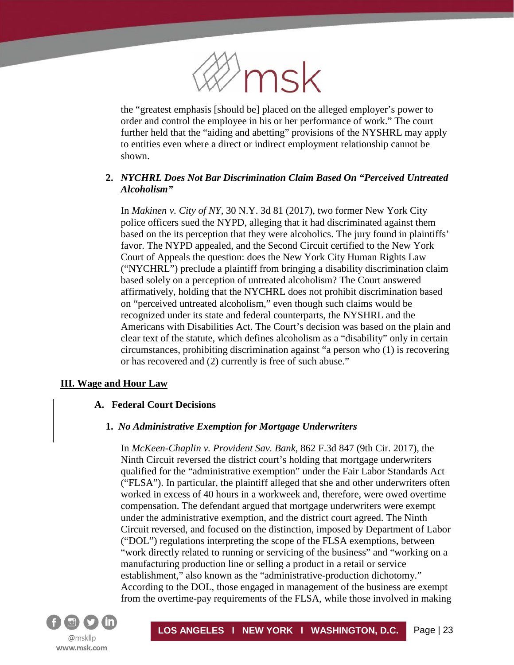

the "greatest emphasis [should be] placed on the alleged employer's power to order and control the employee in his or her performance of work." The court further held that the "aiding and abetting" provisions of the NYSHRL may apply to entities even where a direct or indirect employment relationship cannot be shown.

# **2.** *NYCHRL Does Not Bar Discrimination Claim Based On "Perceived Untreated Alcoholism"*

In *Makinen v. City of NY*, 30 N.Y. 3d 81 (2017), two former New York City police officers sued the NYPD, alleging that it had discriminated against them based on the its perception that they were alcoholics. The jury found in plaintiffs' favor. The NYPD appealed, and the Second Circuit certified to the New York Court of Appeals the question: does the New York City Human Rights Law ("NYCHRL") preclude a plaintiff from bringing a disability discrimination claim based solely on a perception of untreated alcoholism? The Court answered affirmatively, holding that the NYCHRL does not prohibit discrimination based on "perceived untreated alcoholism," even though such claims would be recognized under its state and federal counterparts, the NYSHRL and the Americans with Disabilities Act. The Court's decision was based on the plain and clear text of the statute, which defines alcoholism as a "disability" only in certain circumstances, prohibiting discrimination against "a person who (1) is recovering or has recovered and (2) currently is free of such abuse."

## **III. Wage and Hour Law**

í

#### **A. Federal Court Decisions**

#### **1.** *No Administrative Exemption for Mortgage Underwriters*

In *McKeen-Chaplin v. Provident Sav. Bank*, 862 F.3d 847 (9th Cir. 2017), the Ninth Circuit reversed the district court's holding that mortgage underwriters qualified for the "administrative exemption" under the Fair Labor Standards Act ("FLSA"). In particular, the plaintiff alleged that she and other underwriters often worked in excess of 40 hours in a workweek and, therefore, were owed overtime compensation. The defendant argued that mortgage underwriters were exempt under the administrative exemption, and the district court agreed. The Ninth Circuit reversed, and focused on the distinction, imposed by Department of Labor ("DOL") regulations interpreting the scope of the FLSA exemptions, between "work directly related to running or servicing of the business" and "working on a manufacturing production line or selling a product in a retail or service establishment," also known as the "administrative-production dichotomy." According to the DOL, those engaged in management of the business are exempt from the overtime-pay requirements of the FLSA, while those involved in making

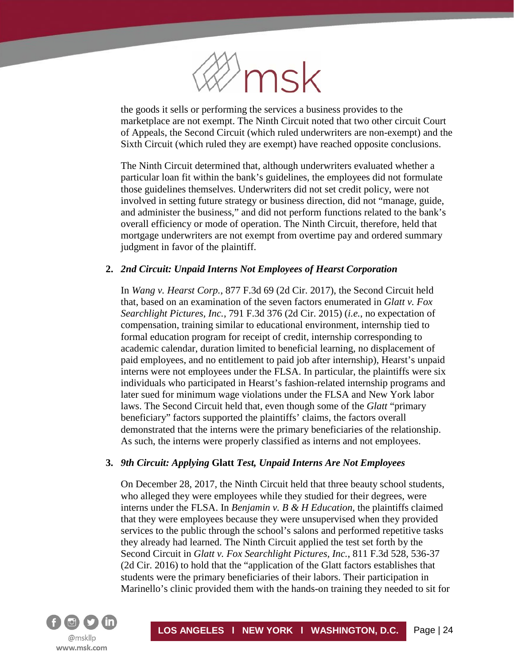

the goods it sells or performing the services a business provides to the marketplace are not exempt. The Ninth Circuit noted that two other circuit Court of Appeals, the Second Circuit (which ruled underwriters are non-exempt) and the Sixth Circuit (which ruled they are exempt) have reached opposite conclusions.

The Ninth Circuit determined that, although underwriters evaluated whether a particular loan fit within the bank's guidelines, the employees did not formulate those guidelines themselves. Underwriters did not set credit policy, were not involved in setting future strategy or business direction, did not "manage, guide, and administer the business," and did not perform functions related to the bank's overall efficiency or mode of operation. The Ninth Circuit, therefore, held that mortgage underwriters are not exempt from overtime pay and ordered summary judgment in favor of the plaintiff.

## **2.** *2nd Circuit: Unpaid Interns Not Employees of Hearst Corporation*

In *Wang v. Hearst Corp.*, 877 F.3d 69 (2d Cir. 2017), the Second Circuit held that, based on an examination of the seven factors enumerated in *Glatt v. Fox Searchlight Pictures, Inc.*, 791 F.3d 376 (2d Cir. 2015) (*i.e.*, no expectation of compensation, training similar to educational environment, internship tied to formal education program for receipt of credit, internship corresponding to academic calendar, duration limited to beneficial learning, no displacement of paid employees, and no entitlement to paid job after internship), Hearst's unpaid interns were not employees under the FLSA. In particular, the plaintiffs were six individuals who participated in Hearst's fashion-related internship programs and later sued for minimum wage violations under the FLSA and New York labor laws. The Second Circuit held that, even though some of the *Glatt* "primary beneficiary" factors supported the plaintiffs' claims, the factors overall demonstrated that the interns were the primary beneficiaries of the relationship. As such, the interns were properly classified as interns and not employees.

## **3.** *9th Circuit: Applying* **Glatt** *Test, Unpaid Interns Are Not Employees*

On December 28, 2017, the Ninth Circuit held that three beauty school students, who alleged they were employees while they studied for their degrees, were interns under the FLSA. In *Benjamin v. B & H Education*, the plaintiffs claimed that they were employees because they were unsupervised when they provided services to the public through the school's salons and performed repetitive tasks they already had learned. The Ninth Circuit applied the test set forth by the Second Circuit in *Glatt v. Fox Searchlight Pictures, Inc.*, 811 F.3d 528, 536-37 (2d Cir. 2016) to hold that the "application of the Glatt factors establishes that students were the primary beneficiaries of their labors. Their participation in Marinello's clinic provided them with the hands-on training they needed to sit for

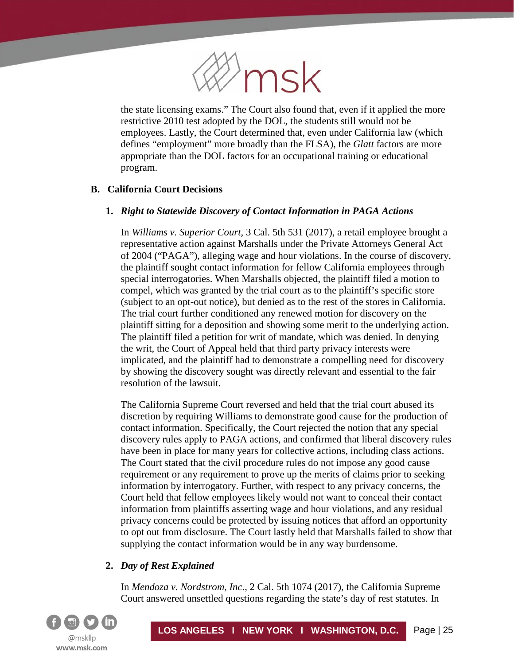

the state licensing exams." The Court also found that, even if it applied the more restrictive 2010 test adopted by the DOL, the students still would not be employees. Lastly, the Court determined that, even under California law (which defines "employment" more broadly than the FLSA), the *Glatt* factors are more appropriate than the DOL factors for an occupational training or educational program.

## **B. California Court Decisions**

í

# **1.** *Right to Statewide Discovery of Contact Information in PAGA Actions*

In *Williams v. Superior Court*, 3 Cal. 5th 531 (2017), a retail employee brought a representative action against Marshalls under the Private Attorneys General Act of 2004 ("PAGA"), alleging wage and hour violations. In the course of discovery, the plaintiff sought contact information for fellow California employees through special interrogatories. When Marshalls objected, the plaintiff filed a motion to compel, which was granted by the trial court as to the plaintiff's specific store (subject to an opt-out notice), but denied as to the rest of the stores in California. The trial court further conditioned any renewed motion for discovery on the plaintiff sitting for a deposition and showing some merit to the underlying action. The plaintiff filed a petition for writ of mandate, which was denied. In denying the writ, the Court of Appeal held that third party privacy interests were implicated, and the plaintiff had to demonstrate a compelling need for discovery by showing the discovery sought was directly relevant and essential to the fair resolution of the lawsuit.

The California Supreme Court reversed and held that the trial court abused its discretion by requiring Williams to demonstrate good cause for the production of contact information. Specifically, the Court rejected the notion that any special discovery rules apply to PAGA actions, and confirmed that liberal discovery rules have been in place for many years for collective actions, including class actions. The Court stated that the civil procedure rules do not impose any good cause requirement or any requirement to prove up the merits of claims prior to seeking information by interrogatory. Further, with respect to any privacy concerns, the Court held that fellow employees likely would not want to conceal their contact information from plaintiffs asserting wage and hour violations, and any residual privacy concerns could be protected by issuing notices that afford an opportunity to opt out from disclosure. The Court lastly held that Marshalls failed to show that supplying the contact information would be in any way burdensome.

# **2.** *Day of Rest Explained*

In *Mendoza v. Nordstrom, Inc*., 2 Cal. 5th 1074 (2017), the California Supreme Court answered unsettled questions regarding the state's day of rest statutes. In

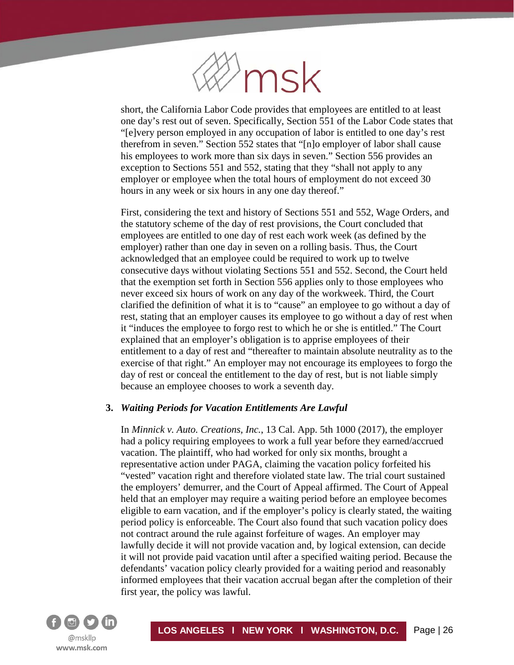

short, the California Labor Code provides that employees are entitled to at least one day's rest out of seven. Specifically, Section 551 of the Labor Code states that "[e]very person employed in any occupation of labor is entitled to one day's rest therefrom in seven." Section 552 states that "[n]o employer of labor shall cause his employees to work more than six days in seven." Section 556 provides an exception to Sections 551 and 552, stating that they "shall not apply to any employer or employee when the total hours of employment do not exceed 30 hours in any week or six hours in any one day thereof."

First, considering the text and history of Sections 551 and 552, Wage Orders, and the statutory scheme of the day of rest provisions, the Court concluded that employees are entitled to one day of rest each work week (as defined by the employer) rather than one day in seven on a rolling basis. Thus, the Court acknowledged that an employee could be required to work up to twelve consecutive days without violating Sections 551 and 552. Second, the Court held that the exemption set forth in Section 556 applies only to those employees who never exceed six hours of work on any day of the workweek. Third, the Court clarified the definition of what it is to "cause" an employee to go without a day of rest, stating that an employer causes its employee to go without a day of rest when it "induces the employee to forgo rest to which he or she is entitled." The Court explained that an employer's obligation is to apprise employees of their entitlement to a day of rest and "thereafter to maintain absolute neutrality as to the exercise of that right." An employer may not encourage its employees to forgo the day of rest or conceal the entitlement to the day of rest, but is not liable simply because an employee chooses to work a seventh day.

#### **3.** *Waiting Periods for Vacation Entitlements Are Lawful*

In *Minnick v. Auto. Creations, Inc.*, 13 Cal. App. 5th 1000 (2017), the employer had a policy requiring employees to work a full year before they earned/accrued vacation. The plaintiff, who had worked for only six months, brought a representative action under PAGA, claiming the vacation policy forfeited his "vested" vacation right and therefore violated state law. The trial court sustained the employers' demurrer, and the Court of Appeal affirmed. The Court of Appeal held that an employer may require a waiting period before an employee becomes eligible to earn vacation, and if the employer's policy is clearly stated, the waiting period policy is enforceable. The Court also found that such vacation policy does not contract around the rule against forfeiture of wages. An employer may lawfully decide it will not provide vacation and, by logical extension, can decide it will not provide paid vacation until after a specified waiting period. Because the defendants' vacation policy clearly provided for a waiting period and reasonably informed employees that their vacation accrual began after the completion of their first year, the policy was lawful.

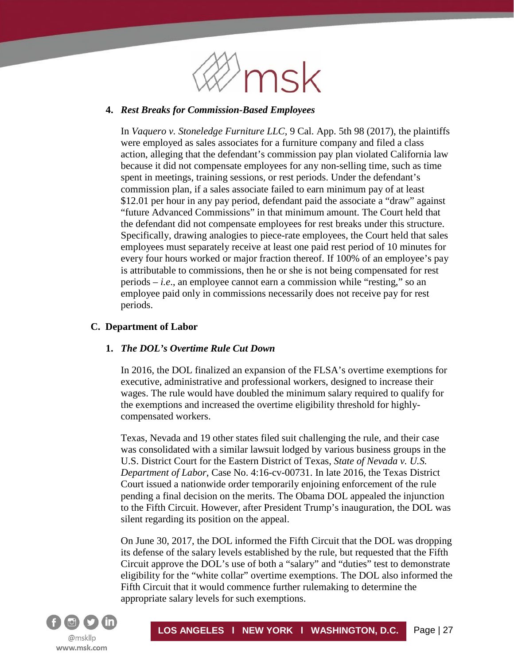

#### **4.** *Rest Breaks for Commission-Based Employees*

In *Vaquero v. Stoneledge Furniture LLC*, 9 Cal. App. 5th 98 (2017), the plaintiffs were employed as sales associates for a furniture company and filed a class action, alleging that the defendant's commission pay plan violated California law because it did not compensate employees for any non-selling time, such as time spent in meetings, training sessions, or rest periods. Under the defendant's commission plan, if a sales associate failed to earn minimum pay of at least \$12.01 per hour in any pay period, defendant paid the associate a "draw" against "future Advanced Commissions" in that minimum amount. The Court held that the defendant did not compensate employees for rest breaks under this structure. Specifically, drawing analogies to piece-rate employees, the Court held that sales employees must separately receive at least one paid rest period of 10 minutes for every four hours worked or major fraction thereof. If 100% of an employee's pay is attributable to commissions, then he or she is not being compensated for rest periods – *i.e*., an employee cannot earn a commission while "resting," so an employee paid only in commissions necessarily does not receive pay for rest periods.

#### **C. Department of Labor**

## **1.** *The DOL's Overtime Rule Cut Down*

In 2016, the DOL finalized an expansion of the FLSA's overtime exemptions for executive, administrative and professional workers, designed to increase their wages. The rule would have doubled the minimum salary required to qualify for the exemptions and increased the overtime eligibility threshold for highlycompensated workers.

Texas, Nevada and 19 other states filed suit challenging the rule, and their case was consolidated with a similar lawsuit lodged by various business groups in the U.S. District Court for the Eastern District of Texas, *State of Nevada v. U.S. Department of Labor*, Case No. 4:16-cv-00731. In late 2016, the Texas District Court issued a nationwide order temporarily enjoining enforcement of the rule pending a final decision on the merits. The Obama DOL appealed the injunction to the Fifth Circuit. However, after President Trump's inauguration, the DOL was silent regarding its position on the appeal.

On June 30, 2017, the DOL informed the Fifth Circuit that the DOL was dropping its defense of the salary levels established by the rule, but requested that the Fifth Circuit approve the DOL's use of both a "salary" and "duties" test to demonstrate eligibility for the "white collar" overtime exemptions. The DOL also informed the Fifth Circuit that it would commence further rulemaking to determine the appropriate salary levels for such exemptions.

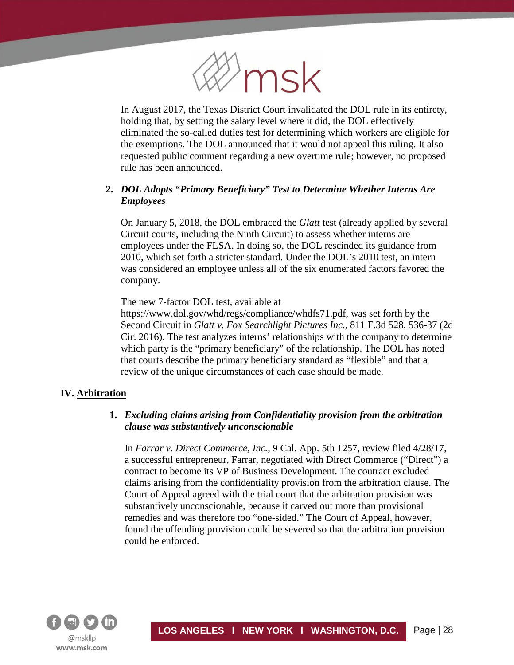

In August 2017, the Texas District Court invalidated the DOL rule in its entirety, holding that, by setting the salary level where it did, the DOL effectively eliminated the so-called duties test for determining which workers are eligible for the exemptions. The DOL announced that it would not appeal this ruling. It also requested public comment regarding a new overtime rule; however, no proposed rule has been announced.

# **2.** *DOL Adopts "Primary Beneficiary" Test to Determine Whether Interns Are Employees*

On January 5, 2018, the DOL embraced the *Glatt* test (already applied by several Circuit courts, including the Ninth Circuit) to assess whether interns are employees under the FLSA. In doing so, the DOL rescinded its guidance from 2010, which set forth a stricter standard. Under the DOL's 2010 test, an intern was considered an employee unless all of the six enumerated factors favored the company.

The new 7-factor DOL test, available at

https://www.dol.gov/whd/regs/compliance/whdfs71.pdf, was set forth by the Second Circuit in *Glatt v. Fox Searchlight Pictures Inc.*, 811 F.3d 528, 536-37 (2d Cir. 2016). The test analyzes interns' relationships with the company to determine which party is the "primary beneficiary" of the relationship. The DOL has noted that courts describe the primary beneficiary standard as "flexible" and that a review of the unique circumstances of each case should be made.

#### **IV. Arbitration**

í

## **1.** *Excluding claims arising from Confidentiality provision from the arbitration clause was substantively unconscionable*

In *Farrar v. Direct Commerce, Inc.*, 9 Cal. App. 5th 1257, review filed 4/28/17, a successful entrepreneur, Farrar, negotiated with Direct Commerce ("Direct") a contract to become its VP of Business Development. The contract excluded claims arising from the confidentiality provision from the arbitration clause. The Court of Appeal agreed with the trial court that the arbitration provision was substantively unconscionable, because it carved out more than provisional remedies and was therefore too "one-sided." The Court of Appeal, however, found the offending provision could be severed so that the arbitration provision could be enforced.

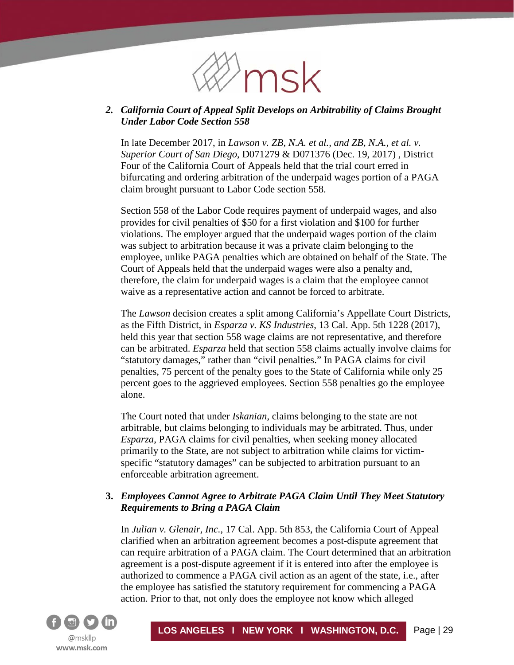

# *2. California Court of Appeal Split Develops on Arbitrability of Claims Brought Under Labor Code Section 558*

In late December 2017, in *Lawson v. ZB, N.A. et al., and ZB, N.A., et al. v. Superior Court of San Diego*, D071279 & D071376 (Dec. 19, 2017) , District Four of the California Court of Appeals held that the trial court erred in bifurcating and ordering arbitration of the underpaid wages portion of a PAGA claim brought pursuant to Labor Code section 558.

Section 558 of the Labor Code requires payment of underpaid wages, and also provides for civil penalties of \$50 for a first violation and \$100 for further violations. The employer argued that the underpaid wages portion of the claim was subject to arbitration because it was a private claim belonging to the employee, unlike PAGA penalties which are obtained on behalf of the State. The Court of Appeals held that the underpaid wages were also a penalty and, therefore, the claim for underpaid wages is a claim that the employee cannot waive as a representative action and cannot be forced to arbitrate.

The *Lawson* decision creates a split among California's Appellate Court Districts, as the Fifth District, in *Esparza v. KS Industries*, 13 Cal. App. 5th 1228 (2017), held this year that section 558 wage claims are not representative, and therefore can be arbitrated. *Esparza* held that section 558 claims actually involve claims for "statutory damages," rather than "civil penalties." In PAGA claims for civil penalties, 75 percent of the penalty goes to the State of California while only 25 percent goes to the aggrieved employees. Section 558 penalties go the employee alone.

The Court noted that under *Iskanian*, claims belonging to the state are not arbitrable, but claims belonging to individuals may be arbitrated. Thus, under *Esparza*, PAGA claims for civil penalties, when seeking money allocated primarily to the State, are not subject to arbitration while claims for victimspecific "statutory damages" can be subjected to arbitration pursuant to an enforceable arbitration agreement.

# **3.** *Employees Cannot Agree to Arbitrate PAGA Claim Until They Meet Statutory Requirements to Bring a PAGA Claim*

In *Julian v. Glenair, Inc.*, 17 Cal. App. 5th 853, the California Court of Appeal clarified when an arbitration agreement becomes a post-dispute agreement that can require arbitration of a PAGA claim. The Court determined that an arbitration agreement is a post-dispute agreement if it is entered into after the employee is authorized to commence a PAGA civil action as an agent of the state, i.e., after the employee has satisfied the statutory requirement for commencing a PAGA action. Prior to that, not only does the employee not know which alleged

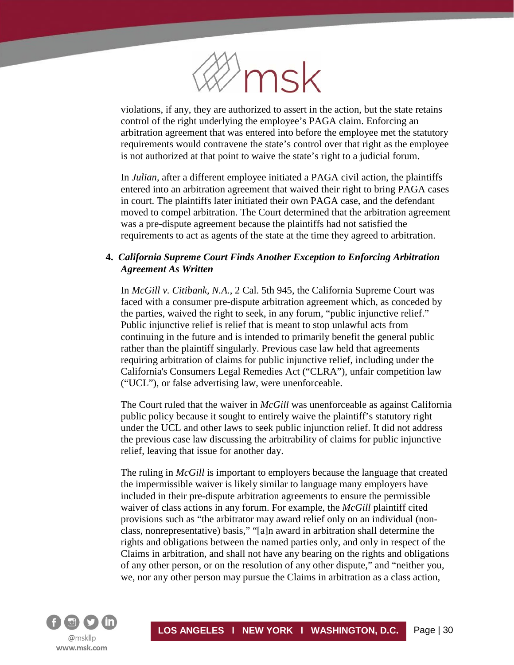

violations, if any, they are authorized to assert in the action, but the state retains control of the right underlying the employee's PAGA claim. Enforcing an arbitration agreement that was entered into before the employee met the statutory requirements would contravene the state's control over that right as the employee is not authorized at that point to waive the state's right to a judicial forum.

In *Julian*, after a different employee initiated a PAGA civil action, the plaintiffs entered into an arbitration agreement that waived their right to bring PAGA cases in court. The plaintiffs later initiated their own PAGA case, and the defendant moved to compel arbitration. The Court determined that the arbitration agreement was a pre-dispute agreement because the plaintiffs had not satisfied the requirements to act as agents of the state at the time they agreed to arbitration.

# **4.** *California Supreme Court Finds Another Exception to Enforcing Arbitration Agreement As Written*

In *McGill v. Citibank, N.A.*, 2 Cal. 5th 945, the California Supreme Court was faced with a consumer pre-dispute arbitration agreement which, as conceded by the parties, waived the right to seek, in any forum, "public injunctive relief." Public injunctive relief is relief that is meant to stop unlawful acts from continuing in the future and is intended to primarily benefit the general public rather than the plaintiff singularly. Previous case law held that agreements requiring arbitration of claims for public injunctive relief, including under the California's Consumers Legal Remedies Act ("CLRA"), unfair competition law ("UCL"), or false advertising law, were unenforceable.

The Court ruled that the waiver in *McGill* was unenforceable as against California public policy because it sought to entirely waive the plaintiff's statutory right under the UCL and other laws to seek public injunction relief. It did not address the previous case law discussing the arbitrability of claims for public injunctive relief, leaving that issue for another day.

The ruling in *McGill* is important to employers because the language that created the impermissible waiver is likely similar to language many employers have included in their pre-dispute arbitration agreements to ensure the permissible waiver of class actions in any forum. For example, the *McGill* plaintiff cited provisions such as "the arbitrator may award relief only on an individual (nonclass, nonrepresentative) basis," "[a]n award in arbitration shall determine the rights and obligations between the named parties only, and only in respect of the Claims in arbitration, and shall not have any bearing on the rights and obligations of any other person, or on the resolution of any other dispute," and "neither you, we, nor any other person may pursue the Claims in arbitration as a class action,

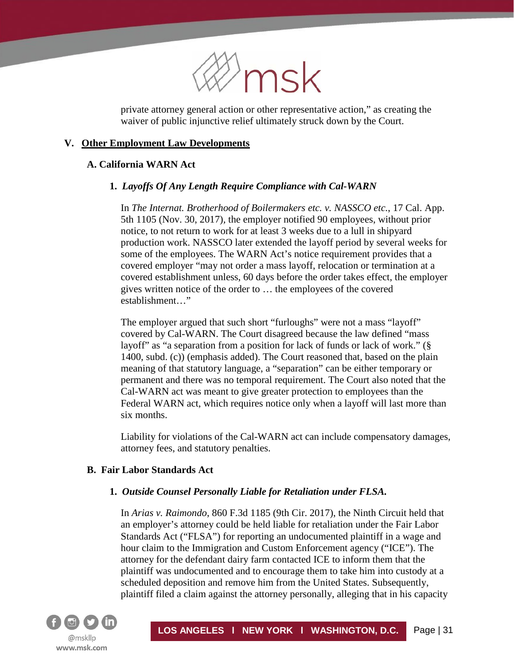

private attorney general action or other representative action," as creating the waiver of public injunctive relief ultimately struck down by the Court.

## **V. Other Employment Law Developments**

#### **A. California WARN Act**

í

#### **1.** *Layoffs Of Any Length Require Compliance with Cal-WARN*

In *The Internat. Brotherhood of Boilermakers etc. v. NASSCO etc.*, 17 Cal. App. 5th 1105 (Nov. 30, 2017)*,* the employer notified 90 employees, without prior notice, to not return to work for at least 3 weeks due to a lull in shipyard production work. NASSCO later extended the layoff period by several weeks for some of the employees. The WARN Act's notice requirement provides that a covered employer "may not order a mass layoff, relocation or termination at a covered establishment unless, 60 days before the order takes effect, the employer gives written notice of the order to … the employees of the covered establishment…"

The employer argued that such short "furloughs" were not a mass "layoff" covered by Cal-WARN. The Court disagreed because the law defined "mass layoff" as "a separation from a position for lack of funds or lack of work." (§ 1400, subd. (c)) (emphasis added). The Court reasoned that, based on the plain meaning of that statutory language, a "separation" can be either temporary or permanent and there was no temporal requirement. The Court also noted that the Cal-WARN act was meant to give greater protection to employees than the Federal WARN act, which requires notice only when a layoff will last more than six months.

Liability for violations of the Cal-WARN act can include compensatory damages, attorney fees, and statutory penalties.

#### **B. Fair Labor Standards Act**

#### **1.** *Outside Counsel Personally Liable for Retaliation under FLSA.*

In *Arias v. Raimondo*, 860 F.3d 1185 (9th Cir. 2017), the Ninth Circuit held that an employer's attorney could be held liable for retaliation under the Fair Labor Standards Act ("FLSA") for reporting an undocumented plaintiff in a wage and hour claim to the Immigration and Custom Enforcement agency ("ICE"). The attorney for the defendant dairy farm contacted ICE to inform them that the plaintiff was undocumented and to encourage them to take him into custody at a scheduled deposition and remove him from the United States. Subsequently, plaintiff filed a claim against the attorney personally, alleging that in his capacity

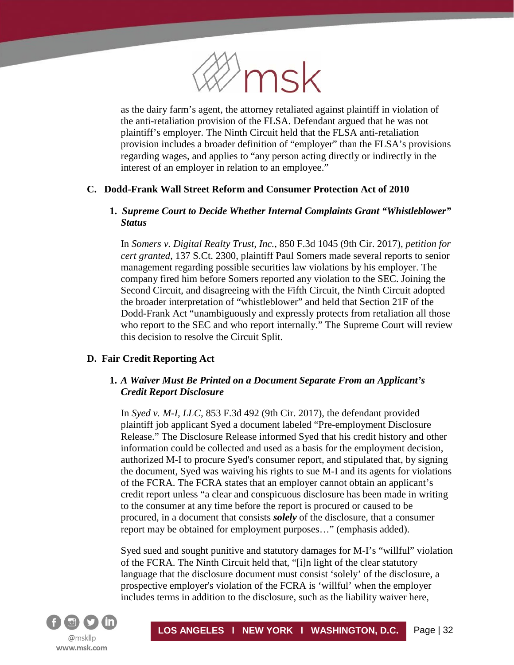

as the dairy farm's agent, the attorney retaliated against plaintiff in violation of the anti-retaliation provision of the FLSA. Defendant argued that he was not plaintiff's employer. The Ninth Circuit held that the FLSA anti-retaliation provision includes a broader definition of "employer" than the FLSA's provisions regarding wages, and applies to "any person acting directly or indirectly in the interest of an employer in relation to an employee."

# **C. Dodd-Frank Wall Street Reform and Consumer Protection Act of 2010**

# **1.** *Supreme Court to Decide Whether Internal Complaints Grant "Whistleblower" Status*

In *Somers v. Digital Realty Trust, Inc.*, 850 F.3d 1045 (9th Cir. 2017), *petition for cert granted*, 137 S.Ct. 2300, plaintiff Paul Somers made several reports to senior management regarding possible securities law violations by his employer. The company fired him before Somers reported any violation to the SEC. Joining the Second Circuit, and disagreeing with the Fifth Circuit, the Ninth Circuit adopted the broader interpretation of "whistleblower" and held that Section 21F of the Dodd-Frank Act "unambiguously and expressly protects from retaliation all those who report to the SEC and who report internally." The Supreme Court will review this decision to resolve the Circuit Split.

## **D. Fair Credit Reporting Act**

# **1.** *A Waiver Must Be Printed on a Document Separate From an Applicant's Credit Report Disclosure*

In *Syed v. M-I, LLC,* 853 F.3d 492 (9th Cir. 2017), the defendant provided plaintiff job applicant Syed a document labeled "Pre-employment Disclosure Release." The Disclosure Release informed Syed that his credit history and other information could be collected and used as a basis for the employment decision, authorized M-I to procure Syed's consumer report, and stipulated that, by signing the document, Syed was waiving his rights to sue M-I and its agents for violations of the FCRA. The FCRA states that an employer cannot obtain an applicant's credit report unless "a clear and conspicuous disclosure has been made in writing to the consumer at any time before the report is procured or caused to be procured, in a document that consists *solely* of the disclosure, that a consumer report may be obtained for employment purposes…" (emphasis added).

Syed sued and sought punitive and statutory damages for M-I's "willful" violation of the FCRA. The Ninth Circuit held that, "[i]n light of the clear statutory language that the disclosure document must consist 'solely' of the disclosure, a prospective employer's violation of the FCRA is 'willful' when the employer includes terms in addition to the disclosure, such as the liability waiver here,

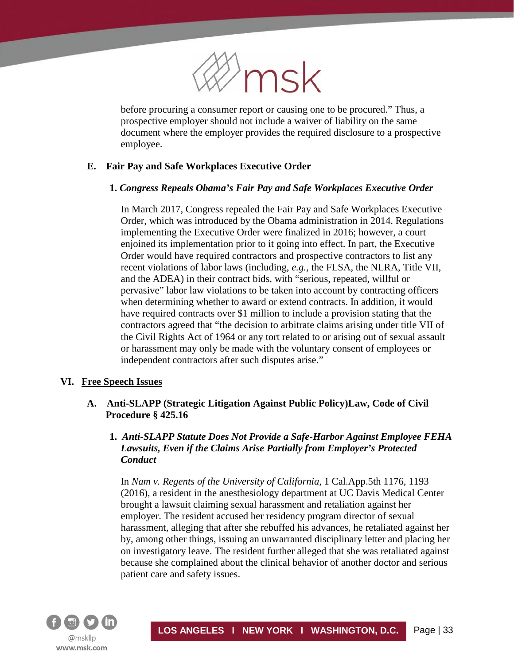

before procuring a consumer report or causing one to be procured." Thus, a prospective employer should not include a waiver of liability on the same document where the employer provides the required disclosure to a prospective employee.

# **E. Fair Pay and Safe Workplaces Executive Order**

#### **1.** *Congress Repeals Obama's Fair Pay and Safe Workplaces Executive Order*

In March 2017, Congress repealed the Fair Pay and Safe Workplaces Executive Order, which was introduced by the Obama administration in 2014. Regulations implementing the Executive Order were finalized in 2016; however, a court enjoined its implementation prior to it going into effect. In part, the Executive Order would have required contractors and prospective contractors to list any recent violations of labor laws (including, *e.g.*, the FLSA, the NLRA, Title VII, and the ADEA) in their contract bids, with "serious, repeated, willful or pervasive" labor law violations to be taken into account by contracting officers when determining whether to award or extend contracts. In addition, it would have required contracts over \$1 million to include a provision stating that the contractors agreed that "the decision to arbitrate claims arising under title VII of the Civil Rights Act of 1964 or any tort related to or arising out of sexual assault or harassment may only be made with the voluntary consent of employees or independent contractors after such disputes arise."

#### **VI. Free Speech Issues**

í

## **A. Anti-SLAPP (Strategic Litigation Against Public Policy)Law, Code of Civil Procedure § 425.16**

# **1.** *Anti-SLAPP Statute Does Not Provide a Safe-Harbor Against Employee FEHA Lawsuits, Even if the Claims Arise Partially from Employer's Protected Conduct*

In *Nam v. Regents of the University of California*, 1 Cal.App.5th 1176, 1193 (2016), a resident in the anesthesiology department at UC Davis Medical Center brought a lawsuit claiming sexual harassment and retaliation against her employer. The resident accused her residency program director of sexual harassment, alleging that after she rebuffed his advances, he retaliated against her by, among other things, issuing an unwarranted disciplinary letter and placing her on investigatory leave. The resident further alleged that she was retaliated against because she complained about the clinical behavior of another doctor and serious patient care and safety issues.

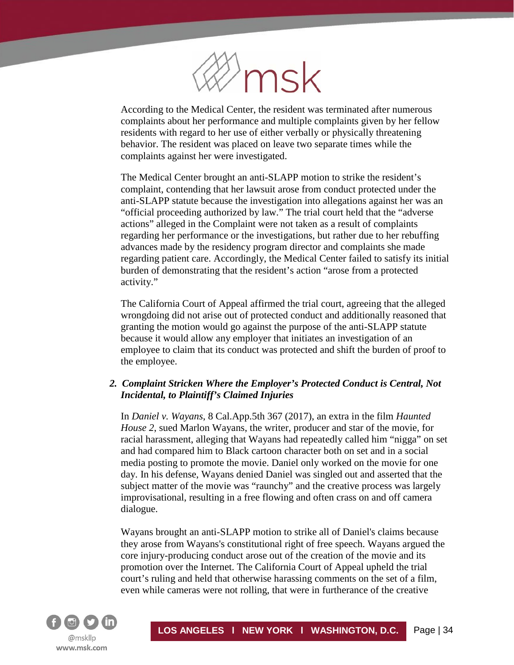

According to the Medical Center, the resident was terminated after numerous complaints about her performance and multiple complaints given by her fellow residents with regard to her use of either verbally or physically threatening behavior. The resident was placed on leave two separate times while the complaints against her were investigated.

The Medical Center brought an anti-SLAPP motion to strike the resident's complaint, contending that her lawsuit arose from conduct protected under the anti-SLAPP statute because the investigation into allegations against her was an "official proceeding authorized by law." The trial court held that the "adverse actions" alleged in the Complaint were not taken as a result of complaints regarding her performance or the investigations, but rather due to her rebuffing advances made by the residency program director and complaints she made regarding patient care. Accordingly, the Medical Center failed to satisfy its initial burden of demonstrating that the resident's action "arose from a protected activity."

The California Court of Appeal affirmed the trial court, agreeing that the alleged wrongdoing did not arise out of protected conduct and additionally reasoned that granting the motion would go against the purpose of the anti-SLAPP statute because it would allow any employer that initiates an investigation of an employee to claim that its conduct was protected and shift the burden of proof to the employee.

# *2. Complaint Stricken Where the Employer's Protected Conduct is Central, Not Incidental, to Plaintiff's Claimed Injuries*

In *Daniel v. Wayans*, 8 Cal.App.5th 367 (2017), an extra in the film *Haunted House 2*, sued Marlon Wayans, the writer, producer and star of the movie, for racial harassment, alleging that Wayans had repeatedly called him "nigga" on set and had compared him to Black cartoon character both on set and in a social media posting to promote the movie. Daniel only worked on the movie for one day. In his defense, Wayans denied Daniel was singled out and asserted that the subject matter of the movie was "raunchy" and the creative process was largely improvisational, resulting in a free flowing and often crass on and off camera dialogue.

Wayans brought an anti-SLAPP motion to strike all of Daniel's claims because they arose from Wayans's constitutional right of free speech. Wayans argued the core injury-producing conduct arose out of the creation of the movie and its promotion over the Internet. The California Court of Appeal upheld the trial court's ruling and held that otherwise harassing comments on the set of a film, even while cameras were not rolling, that were in furtherance of the creative

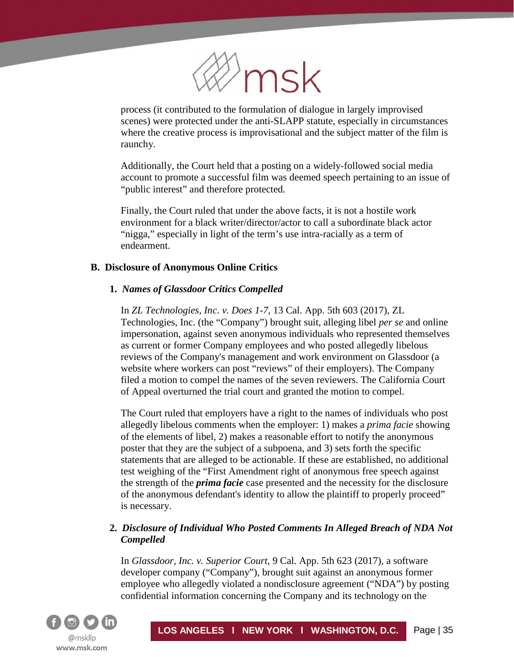

process (it contributed to the formulation of dialogue in largely improvised scenes) were protected under the anti-SLAPP statute, especially in circumstances where the creative process is improvisational and the subject matter of the film is raunchy.

Additionally, the Court held that a posting on a widely-followed social media account to promote a successful film was deemed speech pertaining to an issue of "public interest" and therefore protected.

Finally, the Court ruled that under the above facts, it is not a hostile work environment for a black writer/director/actor to call a subordinate black actor "nigga," especially in light of the term's use intra-racially as a term of endearment.

## **B. Disclosure of Anonymous Online Critics**

# **1.** *Names of Glassdoor Critics Compelled*

In *ZL Technologies, Inc. v. Does 1-7*, 13 Cal. App. 5th 603 (2017), ZL Technologies, Inc. (the "Company") brought suit, alleging libel *per se* and online impersonation, against seven anonymous individuals who represented themselves as current or former Company employees and who posted allegedly libelous reviews of the Company's management and work environment on Glassdoor (a website where workers can post "reviews" of their employers). The Company filed a motion to compel the names of the seven reviewers. The California Court of Appeal overturned the trial court and granted the motion to compel.

The Court ruled that employers have a right to the names of individuals who post allegedly libelous comments when the employer: 1) makes a *prima facie* showing of the elements of libel, 2) makes a reasonable effort to notify the anonymous poster that they are the subject of a subpoena, and 3) sets forth the specific statements that are alleged to be actionable. If these are established, no additional test weighing of the "First Amendment right of anonymous free speech against the strength of the *prima facie* case presented and the necessity for the disclosure of the anonymous defendant's identity to allow the plaintiff to properly proceed" is necessary.

# **2.** *Disclosure of Individual Who Posted Comments In Alleged Breach of NDA Not Compelled*

In *Glassdoor, Inc. v. Superior Court*, 9 Cal. App. 5th 623 (2017), a software developer company ("Company"), brought suit against an anonymous former employee who allegedly violated a nondisclosure agreement ("NDA") by posting confidential information concerning the Company and its technology on the

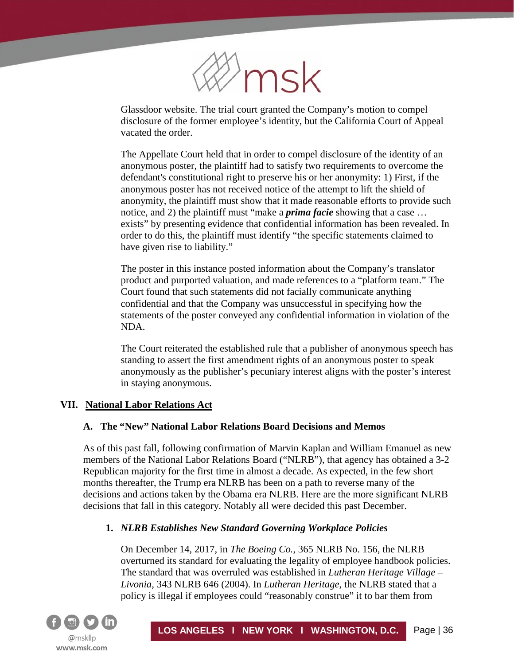

Glassdoor website. The trial court granted the Company's motion to compel disclosure of the former employee's identity, but the California Court of Appeal vacated the order.

The Appellate Court held that in order to compel disclosure of the identity of an anonymous poster, the plaintiff had to satisfy two requirements to overcome the defendant's constitutional right to preserve his or her anonymity: 1) First, if the anonymous poster has not received notice of the attempt to lift the shield of anonymity, the plaintiff must show that it made reasonable efforts to provide such notice, and 2) the plaintiff must "make a *prima facie* showing that a case … exists" by presenting evidence that confidential information has been revealed. In order to do this, the plaintiff must identify "the specific statements claimed to have given rise to liability."

The poster in this instance posted information about the Company's translator product and purported valuation, and made references to a "platform team." The Court found that such statements did not facially communicate anything confidential and that the Company was unsuccessful in specifying how the statements of the poster conveyed any confidential information in violation of the NDA.

The Court reiterated the established rule that a publisher of anonymous speech has standing to assert the first amendment rights of an anonymous poster to speak anonymously as the publisher's pecuniary interest aligns with the poster's interest in staying anonymous.

## **VII. National Labor Relations Act**

## **A. The "New" National Labor Relations Board Decisions and Memos**

As of this past fall, following confirmation of Marvin Kaplan and William Emanuel as new members of the National Labor Relations Board ("NLRB"), that agency has obtained a 3-2 Republican majority for the first time in almost a decade. As expected, in the few short months thereafter, the Trump era NLRB has been on a path to reverse many of the decisions and actions taken by the Obama era NLRB. Here are the more significant NLRB decisions that fall in this category. Notably all were decided this past December.

## **1.** *NLRB Establishes New Standard Governing Workplace Policies*

On December 14, 2017, in *The Boeing Co.*, 365 NLRB No. 156, the NLRB overturned its standard for evaluating the legality of employee handbook policies. The standard that was overruled was established in *Lutheran Heritage Village – Livonia*, 343 NLRB 646 (2004). In *Lutheran Heritage*, the NLRB stated that a policy is illegal if employees could "reasonably construe" it to bar them from

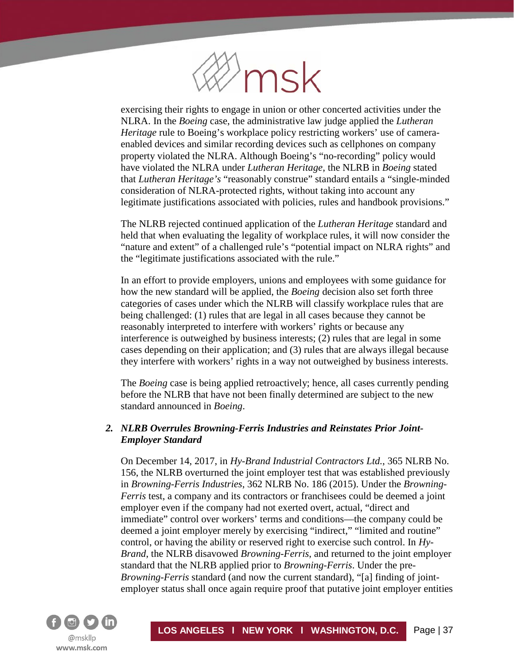

exercising their rights to engage in union or other concerted activities under the NLRA. In the *Boeing* case, the administrative law judge applied the *Lutheran Heritage* rule to Boeing's workplace policy restricting workers' use of cameraenabled devices and similar recording devices such as cellphones on company property violated the NLRA. Although Boeing's "no-recording" policy would have violated the NLRA under *Lutheran Heritage*, the NLRB in *Boeing* stated that *Lutheran Heritage's* "reasonably construe" standard entails a "single-minded consideration of NLRA-protected rights, without taking into account any legitimate justifications associated with policies, rules and handbook provisions."

The NLRB rejected continued application of the *Lutheran Heritage* standard and held that when evaluating the legality of workplace rules, it will now consider the "nature and extent" of a challenged rule's "potential impact on NLRA rights" and the "legitimate justifications associated with the rule."

In an effort to provide employers, unions and employees with some guidance for how the new standard will be applied, the *Boeing* decision also set forth three categories of cases under which the NLRB will classify workplace rules that are being challenged: (1) rules that are legal in all cases because they cannot be reasonably interpreted to interfere with workers' rights or because any interference is outweighed by business interests; (2) rules that are legal in some cases depending on their application; and (3) rules that are always illegal because they interfere with workers' rights in a way not outweighed by business interests.

The *Boeing* case is being applied retroactively; hence, all cases currently pending before the NLRB that have not been finally determined are subject to the new standard announced in *Boeing*.

# *2. NLRB Overrules Browning-Ferris Industries and Reinstates Prior Joint-Employer Standard*

On December 14, 2017, in *Hy-Brand Industrial Contractors Ltd.*, 365 NLRB No. 156, the NLRB overturned the joint employer test that was established previously in *Browning-Ferris Industries*, 362 NLRB No. 186 (2015). Under the *Browning-Ferris* test, a company and its contractors or franchisees could be deemed a joint employer even if the company had not exerted overt, actual, "direct and immediate" control over workers' terms and conditions—the company could be deemed a joint employer merely by exercising "indirect," "limited and routine" control, or having the ability or reserved right to exercise such control. In *Hy-Brand*, the NLRB disavowed *Browning-Ferris*, and returned to the joint employer standard that the NLRB applied prior to *Browning-Ferris*. Under the pre-*Browning-Ferris* standard (and now the current standard), "[a] finding of jointemployer status shall once again require proof that putative joint employer entities

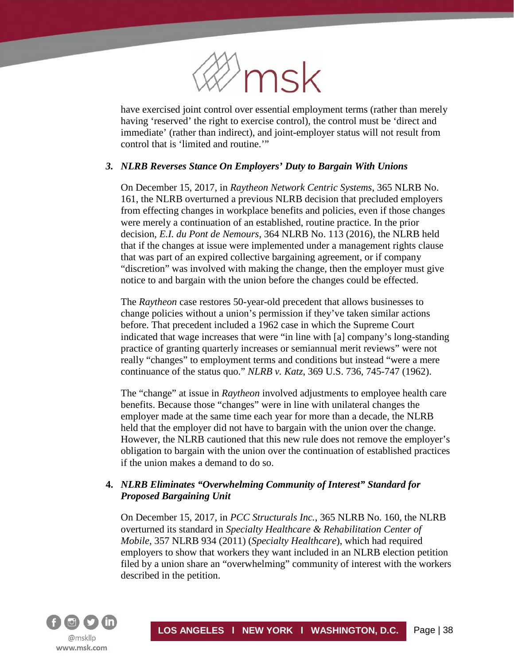

have exercised joint control over essential employment terms (rather than merely having 'reserved' the right to exercise control), the control must be 'direct and immediate' (rather than indirect), and joint-employer status will not result from control that is 'limited and routine.'"

## *3. NLRB Reverses Stance On Employers' Duty to Bargain With Unions*

On December 15, 2017, in *Raytheon Network Centric Systems*, 365 NLRB No. 161, the NLRB overturned a previous NLRB decision that precluded employers from effecting changes in workplace benefits and policies, even if those changes were merely a continuation of an established, routine practice. In the prior decision, *E.I. du Pont de Nemours*, 364 NLRB No. 113 (2016), the NLRB held that if the changes at issue were implemented under a management rights clause that was part of an expired collective bargaining agreement, or if company "discretion" was involved with making the change, then the employer must give notice to and bargain with the union before the changes could be effected.

The *Raytheon* case restores 50-year-old precedent that allows businesses to change policies without a union's permission if they've taken similar actions before. That precedent included a 1962 case in which the Supreme Court indicated that wage increases that were "in line with [a] company's long-standing practice of granting quarterly increases or semiannual merit reviews" were not really "changes" to employment terms and conditions but instead "were a mere continuance of the status quo." *NLRB v. Katz*, 369 U.S. 736, 745-747 (1962).

The "change" at issue in *Raytheon* involved adjustments to employee health care benefits. Because those "changes" were in line with unilateral changes the employer made at the same time each year for more than a decade, the NLRB held that the employer did not have to bargain with the union over the change. However, the NLRB cautioned that this new rule does not remove the employer's obligation to bargain with the union over the continuation of established practices if the union makes a demand to do so.

# **4.** *NLRB Eliminates "Overwhelming Community of Interest" Standard for Proposed Bargaining Unit*

On December 15, 2017, in *PCC Structurals Inc.*, 365 NLRB No. 160, the NLRB overturned its standard in *Specialty Healthcare & Rehabilitation Center of Mobile,* 357 NLRB 934 (2011) (*Specialty Healthcare*), which had required employers to show that workers they want included in an NLRB election petition filed by a union share an "overwhelming" community of interest with the workers described in the petition.

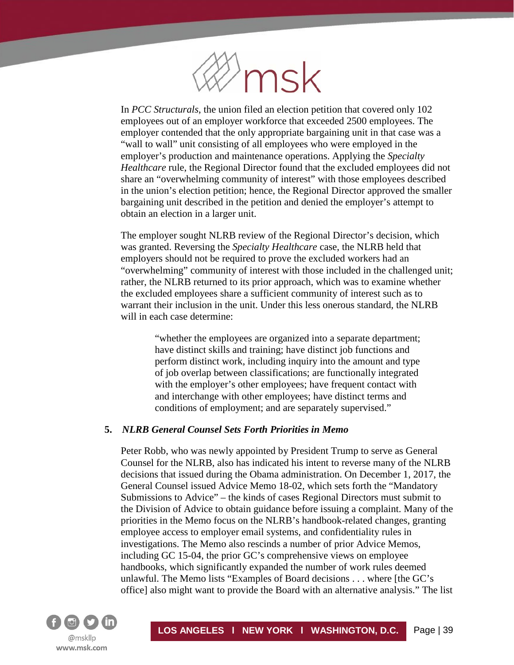

In *PCC Structurals*, the union filed an election petition that covered only 102 employees out of an employer workforce that exceeded 2500 employees. The employer contended that the only appropriate bargaining unit in that case was a "wall to wall" unit consisting of all employees who were employed in the employer's production and maintenance operations. Applying the *Specialty Healthcare* rule, the Regional Director found that the excluded employees did not share an "overwhelming community of interest" with those employees described in the union's election petition; hence, the Regional Director approved the smaller bargaining unit described in the petition and denied the employer's attempt to obtain an election in a larger unit.

The employer sought NLRB review of the Regional Director's decision, which was granted. Reversing the *Specialty Healthcare* case, the NLRB held that employers should not be required to prove the excluded workers had an "overwhelming" community of interest with those included in the challenged unit; rather, the NLRB returned to its prior approach, which was to examine whether the excluded employees share a sufficient community of interest such as to warrant their inclusion in the unit. Under this less onerous standard, the NLRB will in each case determine:

"whether the employees are organized into a separate department; have distinct skills and training; have distinct job functions and perform distinct work, including inquiry into the amount and type of job overlap between classifications; are functionally integrated with the employer's other employees; have frequent contact with and interchange with other employees; have distinct terms and conditions of employment; and are separately supervised."

#### **5.** *NLRB General Counsel Sets Forth Priorities in Memo*

Peter Robb, who was newly appointed by President Trump to serve as General Counsel for the NLRB, also has indicated his intent to reverse many of the NLRB decisions that issued during the Obama administration. On December 1, 2017, the General Counsel issued Advice Memo 18-02, which sets forth the "Mandatory Submissions to Advice" – the kinds of cases Regional Directors must submit to the Division of Advice to obtain guidance before issuing a complaint. Many of the priorities in the Memo focus on the NLRB's handbook-related changes, granting employee access to employer email systems, and confidentiality rules in investigations. The Memo also rescinds a number of prior Advice Memos, including GC 15-04, the prior GC's comprehensive views on employee handbooks, which significantly expanded the number of work rules deemed unlawful. The Memo lists "Examples of Board decisions . . . where [the GC's office] also might want to provide the Board with an alternative analysis." The list

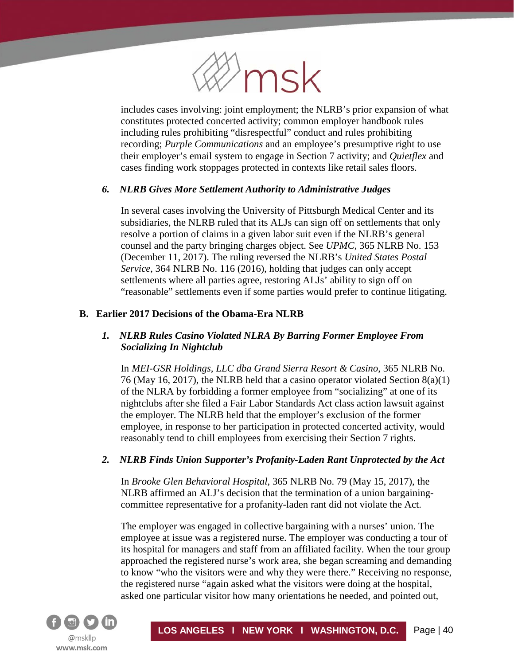

includes cases involving: joint employment; the NLRB's prior expansion of what constitutes protected concerted activity; common employer handbook rules including rules prohibiting "disrespectful" conduct and rules prohibiting recording; *Purple Communications* and an employee's presumptive right to use their employer's email system to engage in Section 7 activity; and *Quietflex* and cases finding work stoppages protected in contexts like retail sales floors.

# *6. NLRB Gives More Settlement Authority to Administrative Judges*

In several cases involving the University of Pittsburgh Medical Center and its subsidiaries, the NLRB ruled that its ALJs can sign off on settlements that only resolve a portion of claims in a given labor suit even if the NLRB's general counsel and the party bringing charges object. See *UPMC*, 365 NLRB No. 153 (December 11, 2017). The ruling reversed the NLRB's *United States Postal Service*, 364 NLRB No. 116 (2016), holding that judges can only accept settlements where all parties agree, restoring ALJs' ability to sign off on "reasonable" settlements even if some parties would prefer to continue litigating.

# **B. Earlier 2017 Decisions of the Obama-Era NLRB**

# *1. NLRB Rules Casino Violated NLRA By Barring Former Employee From Socializing In Nightclub*

In *MEI-GSR Holdings, LLC dba Grand Sierra Resort & Casino*, 365 NLRB No. 76 (May 16, 2017), the NLRB held that a casino operator violated Section 8(a)(1) of the NLRA by forbidding a former employee from "socializing" at one of its nightclubs after she filed a Fair Labor Standards Act class action lawsuit against the employer. The NLRB held that the employer's exclusion of the former employee, in response to her participation in protected concerted activity, would reasonably tend to chill employees from exercising their Section 7 rights.

## *2. NLRB Finds Union Supporter's Profanity-Laden Rant Unprotected by the Act*

In *Brooke Glen Behavioral Hospital*, 365 NLRB No. 79 (May 15, 2017), the NLRB affirmed an ALJ's decision that the termination of a union bargainingcommittee representative for a profanity-laden rant did not violate the Act.

The employer was engaged in collective bargaining with a nurses' union. The employee at issue was a registered nurse. The employer was conducting a tour of its hospital for managers and staff from an affiliated facility. When the tour group approached the registered nurse's work area, she began screaming and demanding to know "who the visitors were and why they were there." Receiving no response, the registered nurse "again asked what the visitors were doing at the hospital, asked one particular visitor how many orientations he needed, and pointed out,

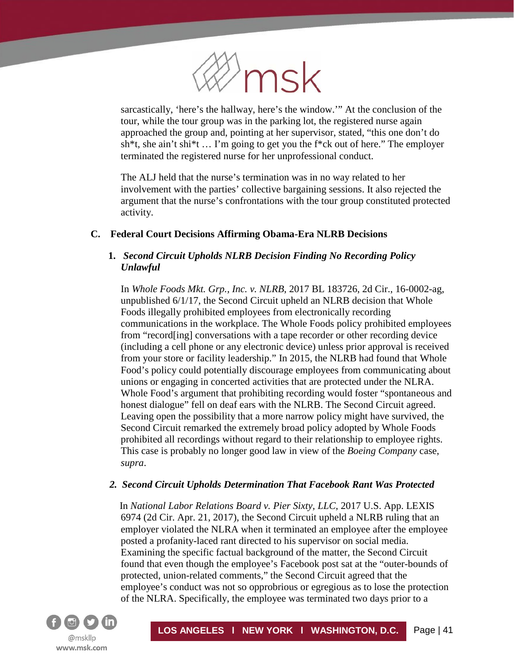

sarcastically, 'here's the hallway, here's the window.'" At the conclusion of the tour, while the tour group was in the parking lot, the registered nurse again approached the group and, pointing at her supervisor, stated, "this one don't do sh\*t, she ain't shi\*t … I'm going to get you the f\*ck out of here." The employer terminated the registered nurse for her unprofessional conduct.

The ALJ held that the nurse's termination was in no way related to her involvement with the parties' collective bargaining sessions. It also rejected the argument that the nurse's confrontations with the tour group constituted protected activity.

# **C. Federal Court Decisions Affirming Obama-Era NLRB Decisions**

# **1.** *Second Circuit Upholds NLRB Decision Finding No Recording Policy Unlawful*

In *Whole Foods Mkt. Grp., Inc. v. NLRB*, 2017 BL 183726, 2d Cir., 16-0002-ag, unpublished 6/1/17, the Second Circuit upheld an NLRB decision that Whole Foods illegally prohibited employees from electronically recording communications in the workplace. The Whole Foods policy prohibited employees from "record[ing] conversations with a tape recorder or other recording device (including a cell phone or any electronic device) unless prior approval is received from your store or facility leadership." In 2015, the NLRB had found that Whole Food's policy could potentially discourage employees from communicating about unions or engaging in concerted activities that are protected under the NLRA. Whole Food's argument that prohibiting recording would foster "spontaneous and honest dialogue" fell on deaf ears with the NLRB. The Second Circuit agreed. Leaving open the possibility that a more narrow policy might have survived, the Second Circuit remarked the extremely broad policy adopted by Whole Foods prohibited all recordings without regard to their relationship to employee rights. This case is probably no longer good law in view of the *Boeing Company* case, *supra*.

## *2. Second Circuit Upholds Determination That Facebook Rant Was Protected*

In *National Labor Relations Board v. Pier Sixty, LLC*, 2017 U.S. App. LEXIS 6974 (2d Cir. Apr. 21, 2017), the Second Circuit upheld a NLRB ruling that an employer violated the NLRA when it terminated an employee after the employee posted a profanity-laced rant directed to his supervisor on social media. Examining the specific factual background of the matter, the Second Circuit found that even though the employee's Facebook post sat at the "outer-bounds of protected, union-related comments," the Second Circuit agreed that the employee's conduct was not so opprobrious or egregious as to lose the protection of the NLRA. Specifically, the employee was terminated two days prior to a